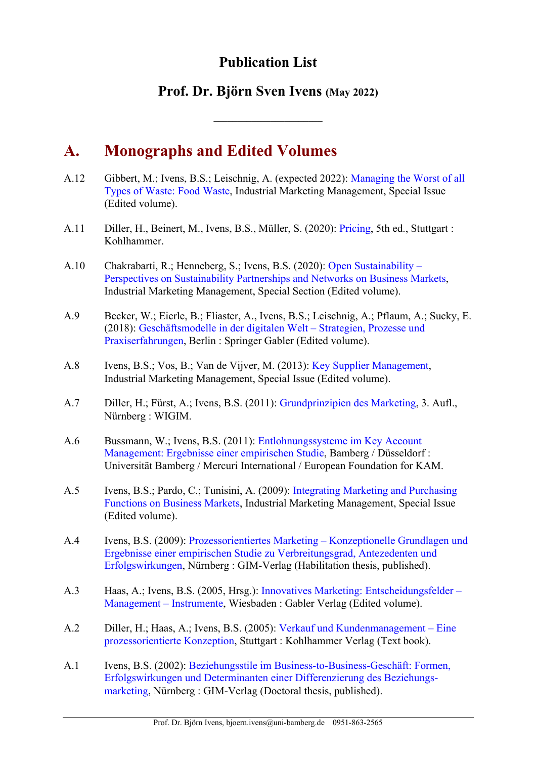## **Publication List**

## **Prof. Dr. Björn Sven Ivens (May 2022)**

# **A. Monographs and Edited Volumes**

- A.12 Gibbert, M.; Ivens, B.S.; Leischnig, A. (expected 2022): Managing the Worst of all Types of Waste: Food Waste, Industrial Marketing Management, Special Issue (Edited volume).
- A.11 Diller, H., Beinert, M., Ivens, B.S., Müller, S. (2020): Pricing, 5th ed., Stuttgart : Kohlhammer.
- A.10 Chakrabarti, R.; Henneberg, S.; Ivens, B.S. (2020): Open Sustainability Perspectives on Sustainability Partnerships and Networks on Business Markets, Industrial Marketing Management, Special Section (Edited volume).
- A.9 Becker, W.; Eierle, B.; Fliaster, A., Ivens, B.S.; Leischnig, A.; Pflaum, A.; Sucky, E. (2018): Geschäftsmodelle in der digitalen Welt – Strategien, Prozesse und Praxiserfahrungen, Berlin : Springer Gabler (Edited volume).
- A.8 Ivens, B.S.; Vos, B.; Van de Vijver, M. (2013): Key Supplier Management, Industrial Marketing Management, Special Issue (Edited volume).
- A.7 Diller, H.; Fürst, A.; Ivens, B.S. (2011): Grundprinzipien des Marketing, 3. Aufl., Nürnberg : WIGIM.
- A.6 Bussmann, W.; Ivens, B.S. (2011): Entlohnungssysteme im Key Account Management: Ergebnisse einer empirischen Studie, Bamberg / Düsseldorf : Universität Bamberg / Mercuri International / European Foundation for KAM.
- A.5 Ivens, B.S.; Pardo, C.; Tunisini, A. (2009): Integrating Marketing and Purchasing Functions on Business Markets, Industrial Marketing Management, Special Issue (Edited volume).
- A.4 Ivens, B.S. (2009): Prozessorientiertes Marketing Konzeptionelle Grundlagen und Ergebnisse einer empirischen Studie zu Verbreitungsgrad, Antezedenten und Erfolgswirkungen, Nürnberg : GIM-Verlag (Habilitation thesis, published).
- A.3 Haas, A.; Ivens, B.S. (2005, Hrsg.): Innovatives Marketing: Entscheidungsfelder Management – Instrumente, Wiesbaden : Gabler Verlag (Edited volume).
- A.2 Diller, H.; Haas, A.; Ivens, B.S. (2005): Verkauf und Kundenmanagement Eine prozessorientierte Konzeption, Stuttgart : Kohlhammer Verlag (Text book).
- A.1 Ivens, B.S. (2002): Beziehungsstile im Business-to-Business-Geschäft: Formen, Erfolgswirkungen und Determinanten einer Differenzierung des Beziehungsmarketing, Nürnberg : GIM-Verlag (Doctoral thesis, published).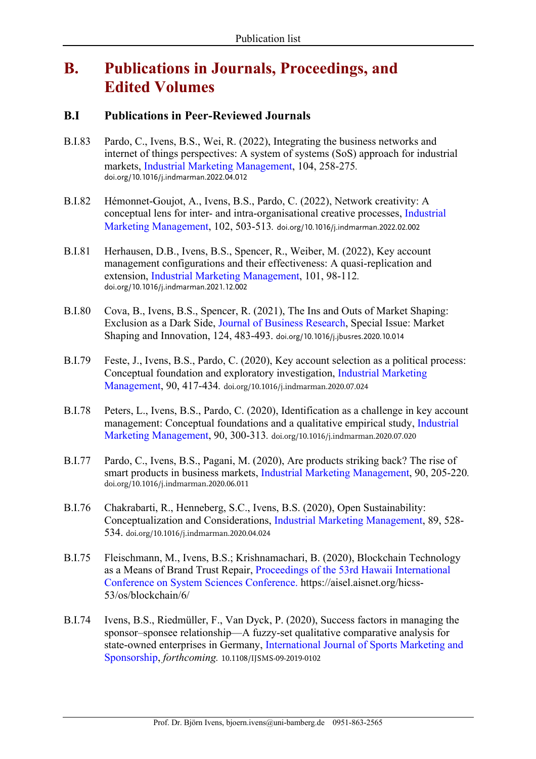# **B. Publications in Journals, Proceedings, and Edited Volumes**

## **B.I Publications in Peer-Reviewed Journals**

- B.I.83 Pardo, C., Ivens, B.S., Wei, R. (2022), Integrating the business networks and internet of things perspectives: A system of systems (SoS) approach for industrial markets, Industrial Marketing Management, 104, 258-275*.* doi.org/10.1016/j.indmarman.2022.04.012
- B.I.82 Hémonnet-Goujot, A., Ivens, B.S., Pardo, C. (2022), Network creativity: A conceptual lens for inter- and intra-organisational creative processes, Industrial Marketing Management, 102, 503-513*.* doi.org/10.1016/j.indmarman.2022.02.002
- B.I.81 Herhausen, D.B., Ivens, B.S., Spencer, R., Weiber, M. (2022), Key account management configurations and their effectiveness: A quasi-replication and extension, Industrial Marketing Management, 101, 98-112*.* doi.org/10.1016/j.indmarman.2021.12.002
- B.I.80 Cova, B., Ivens, B.S., Spencer, R. (2021), The Ins and Outs of Market Shaping: Exclusion as a Dark Side, Journal of Business Research, Special Issue: Market Shaping and Innovation, 124, 483-493. doi.org/10.1016/j.jbusres.2020.10.014
- B.I.79 Feste, J., Ivens, B.S., Pardo, C. (2020), Key account selection as a political process: Conceptual foundation and exploratory investigation, Industrial Marketing Management, 90, 417-434*.* doi.org/10.1016/j.indmarman.2020.07.024
- B.I.78 Peters, L., Ivens, B.S., Pardo, C. (2020), Identification as a challenge in key account management: Conceptual foundations and a qualitative empirical study, Industrial Marketing Management, 90, 300-313*.* doi.org/10.1016/j.indmarman.2020.07.020
- B.I.77 Pardo, C., Ivens, B.S., Pagani, M. (2020), Are products striking back? The rise of smart products in business markets, Industrial Marketing Management, 90, 205-220*.* doi.org/10.1016/j.indmarman.2020.06.011
- B.I.76 Chakrabarti, R., Henneberg, S.C., Ivens, B.S. (2020), Open Sustainability: Conceptualization and Considerations, Industrial Marketing Management, 89, 528- 534. doi.org/10.1016/j.indmarman.2020.04.024
- B.I.75 Fleischmann, M., Ivens, B.S.; Krishnamachari, B. (2020), Blockchain Technology as a Means of Brand Trust Repair, Proceedings of the 53rd Hawaii International Conference on System Sciences Conference. https://aisel.aisnet.org/hicss-53/os/blockchain/6/
- B.I.74 Ivens, B.S., Riedmüller, F., Van Dyck, P. (2020), Success factors in managing the sponsor–sponsee relationship—A fuzzy-set qualitative comparative analysis for state-owned enterprises in Germany, International Journal of Sports Marketing and Sponsorship, *forthcoming.* 10.1108/IJSMS-09-2019-0102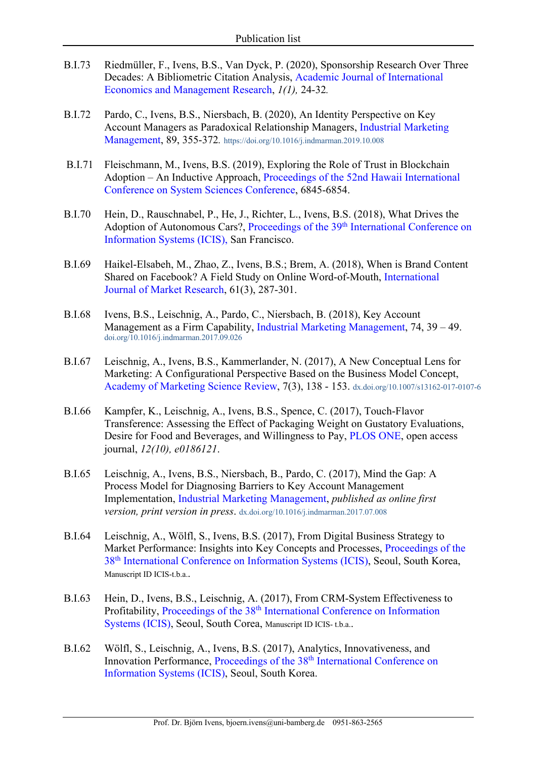- B.I.73 Riedmüller, F., Ivens, B.S., Van Dyck, P. (2020), Sponsorship Research Over Three Decades: A Bibliometric Citation Analysis, Academic Journal of International Economics and Management Research, *1(1),* 24-32*.*
- B.I.72 Pardo, C., Ivens, B.S., Niersbach, B. (2020), An Identity Perspective on Key Account Managers as Paradoxical Relationship Managers, Industrial Marketing Management, 89, 355-372*.* https://doi.org/10.1016/j.indmarman.2019.10.008
- B.I.71 Fleischmann, M., Ivens, B.S. (2019), Exploring the Role of Trust in Blockchain Adoption – An Inductive Approach, Proceedings of the 52nd Hawaii International Conference on System Sciences Conference, 6845-6854.
- B.I.70 Hein, D., Rauschnabel, P., He, J., Richter, L., Ivens, B.S. (2018), What Drives the Adoption of Autonomous Cars?, Proceedings of the 39<sup>th</sup> International Conference on Information Systems (ICIS), San Francisco.
- B.I.69 Haikel-Elsabeh, M., Zhao, Z., Ivens, B.S.; Brem, A. (2018), When is Brand Content Shared on Facebook? A Field Study on Online Word-of-Mouth, International Journal of Market Research, 61(3), 287-301.
- B.I.68 Ivens, B.S., Leischnig, A., Pardo, C., Niersbach, B. (2018), Key Account Management as a Firm Capability, Industrial Marketing Management, 74, 39 – 49. doi.org/10.1016/j.indmarman.2017.09.026
- B.I.67 Leischnig, A., Ivens, B.S., Kammerlander, N. (2017), A New Conceptual Lens for Marketing: A Configurational Perspective Based on the Business Model Concept, Academy of Marketing Science Review, 7(3), 138 - 153. dx.doi.org/10.1007/s13162-017-0107-6
- B.I.66 Kampfer, K., Leischnig, A., Ivens, B.S., Spence, C. (2017), Touch-Flavor Transference: Assessing the Effect of Packaging Weight on Gustatory Evaluations, Desire for Food and Beverages, and Willingness to Pay, PLOS ONE, open access journal, *12(10), e0186121*.
- B.I.65 Leischnig, A., Ivens, B.S., Niersbach, B., Pardo, C. (2017), Mind the Gap: A Process Model for Diagnosing Barriers to Key Account Management Implementation, Industrial Marketing Management, *published as online first version, print version in press*. dx.doi.org/10.1016/j.indmarman.2017.07.008
- B.I.64 Leischnig, A., Wölfl, S., Ivens, B.S. (2017), From Digital Business Strategy to Market Performance: Insights into Key Concepts and Processes, Proceedings of the 38th International Conference on Information Systems (ICIS), Seoul, South Korea, Manuscript ID ICIS-t.b.a..
- B.I.63 Hein, D., Ivens, B.S., Leischnig, A. (2017), From CRM-System Effectiveness to Profitability, Proceedings of the 38<sup>th</sup> International Conference on Information Systems (ICIS), Seoul, South Corea, Manuscript ID ICIS- t.b.a..
- B.I.62 Wölfl, S., Leischnig, A., Ivens, B.S. (2017), Analytics, Innovativeness, and Innovation Performance, Proceedings of the 38<sup>th</sup> International Conference on Information Systems (ICIS), Seoul, South Korea.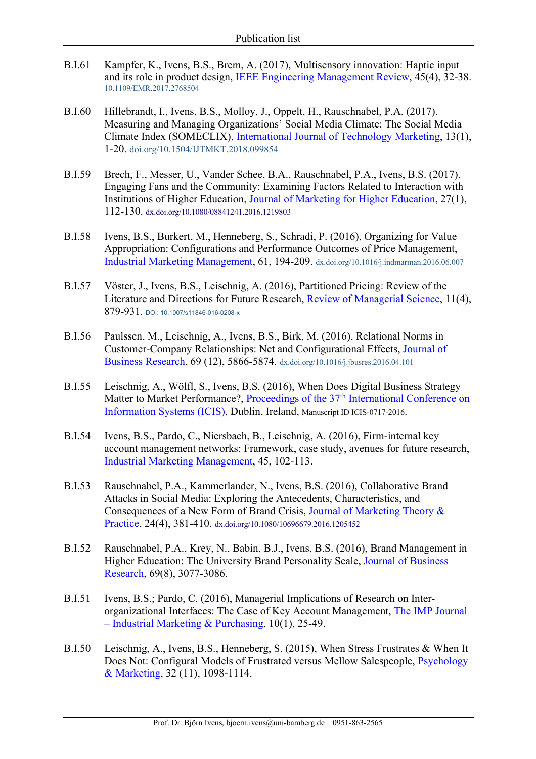- B.I.61 Kampfer, K., Ivens, B.S., Brem, A. (2017), Multisensory innovation: Haptic input and its role in product design, IEEE Engineering Management Review, 45(4), 32-38. 10.1109/EMR.2017.2768504
- B.I.60 Hillebrandt, I., Ivens, B.S., Molloy, J., Oppelt, H., Rauschnabel, P.A. (2017). Measuring and Managing Organizations' Social Media Climate: The Social Media Climate Index (SOMECLIX), International Journal of Technology Marketing, 13(1), 1-20. doi.org/10.1504/IJTMKT.2018.099854
- B.I.59 Brech, F., Messer, U., Vander Schee, B.A., Rauschnabel, P.A., Ivens, B.S. (2017). Engaging Fans and the Community: Examining Factors Related to Interaction with Institutions of Higher Education, Journal of Marketing for Higher Education, 27(1), 112-130. dx.doi.org/10.1080/08841241.2016.1219803
- B.I.58 Ivens, B.S., Burkert, M., Henneberg, S., Schradi, P. (2016), Organizing for Value Appropriation: Configurations and Performance Outcomes of Price Management, Industrial Marketing Management, 61, 194-209. dx.doi.org/10.1016/j.indmarman.2016.06.007
- B.I.57 Vöster, J., Ivens, B.S., Leischnig, A. (2016), Partitioned Pricing: Review of the Literature and Directions for Future Research, Review of Managerial Science, 11(4), 879-931*.* DOI: 10.1007/s11846-016-0208-x
- B.I.56 Paulssen, M., Leischnig, A., Ivens, B.S., Birk, M. (2016), Relational Norms in Customer-Company Relationships: Net and Configurational Effects, Journal of Business Research, 69 (12), 5866-5874. dx.doi.org/10.1016/j.jbusres.2016.04.101
- B.I.55 Leischnig, A., Wölfl, S., Ivens, B.S. (2016), When Does Digital Business Strategy Matter to Market Performance?, Proceedings of the 37<sup>th</sup> International Conference on Information Systems (ICIS), Dublin, Ireland, Manuscript ID ICIS-0717-2016.
- B.I.54 Ivens, B.S., Pardo, C., Niersbach, B., Leischnig, A. (2016), Firm-internal key account management networks: Framework, case study, avenues for future research, Industrial Marketing Management, 45, 102-113.
- B.I.53 Rauschnabel, P.A., Kammerlander, N., Ivens, B.S. (2016), Collaborative Brand Attacks in Social Media: Exploring the Antecedents, Characteristics, and Consequences of a New Form of Brand Crisis, Journal of Marketing Theory & Practice, 24(4), 381-410. dx.doi.org/10.1080/10696679.2016.1205452
- B.I.52 Rauschnabel, P.A., Krey, N., Babin, B.J., Ivens, B.S. (2016), Brand Management in Higher Education: The University Brand Personality Scale, Journal of Business Research, 69(8), 3077-3086.
- B.I.51 Ivens, B.S.; Pardo, C. (2016), Managerial Implications of Research on Interorganizational Interfaces: The Case of Key Account Management, The IMP Journal – Industrial Marketing & Purchasing, 10(1), 25-49.
- B.I.50 Leischnig, A., Ivens, B.S., Henneberg, S. (2015), When Stress Frustrates & When It Does Not: Configural Models of Frustrated versus Mellow Salespeople, Psychology & Marketing, 32 (11), 1098-1114.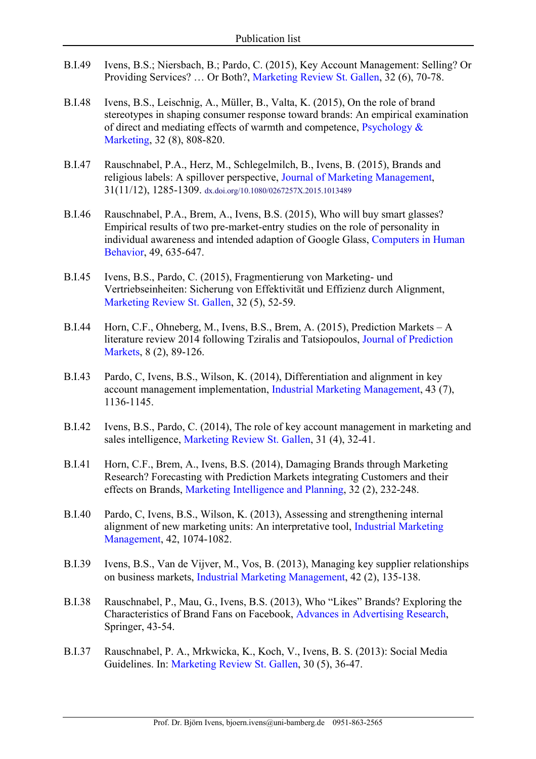- B.I.49 Ivens, B.S.; Niersbach, B.; Pardo, C. (2015), Key Account Management: Selling? Or Providing Services? … Or Both?, Marketing Review St. Gallen, 32 (6), 70-78.
- B.I.48 Ivens, B.S., Leischnig, A., Müller, B., Valta, K. (2015), On the role of brand stereotypes in shaping consumer response toward brands: An empirical examination of direct and mediating effects of warmth and competence, Psychology & Marketing, 32 (8), 808-820.
- B.I.47 Rauschnabel, P.A., Herz, M., Schlegelmilch, B., Ivens, B. (2015), Brands and religious labels: A spillover perspective, Journal of Marketing Management, 31(11/12), 1285-1309. dx.doi.org/10.1080/0267257X.2015.1013489
- B.I.46 Rauschnabel, P.A., Brem, A., Ivens, B.S. (2015), Who will buy smart glasses? Empirical results of two pre-market-entry studies on the role of personality in individual awareness and intended adaption of Google Glass, Computers in Human Behavior, 49, 635-647.
- B.I.45 Ivens, B.S., Pardo, C. (2015), Fragmentierung von Marketing- und Vertriebseinheiten: Sicherung von Effektivität und Effizienz durch Alignment, Marketing Review St. Gallen, 32 (5), 52-59.
- B.I.44 Horn, C.F., Ohneberg, M., Ivens, B.S., Brem, A. (2015), Prediction Markets A literature review 2014 following Tziralis and Tatsiopoulos, Journal of Prediction Markets, 8 (2), 89-126.
- B.I.43 Pardo, C, Ivens, B.S., Wilson, K. (2014), Differentiation and alignment in key account management implementation, Industrial Marketing Management, 43 (7), 1136-1145.
- B.I.42 Ivens, B.S., Pardo, C. (2014), The role of key account management in marketing and sales intelligence, Marketing Review St. Gallen, 31 (4), 32-41.
- B.I.41 Horn, C.F., Brem, A., Ivens, B.S. (2014), Damaging Brands through Marketing Research? Forecasting with Prediction Markets integrating Customers and their effects on Brands, Marketing Intelligence and Planning, 32 (2), 232-248.
- B.I.40 Pardo, C, Ivens, B.S., Wilson, K. (2013), Assessing and strengthening internal alignment of new marketing units: An interpretative tool, Industrial Marketing Management, 42, 1074-1082.
- B.I.39 Ivens, B.S., Van de Vijver, M., Vos, B. (2013), Managing key supplier relationships on business markets, Industrial Marketing Management, 42 (2), 135-138.
- B.I.38 Rauschnabel, P., Mau, G., Ivens, B.S. (2013), Who "Likes" Brands? Exploring the Characteristics of Brand Fans on Facebook, Advances in Advertising Research, Springer, 43-54.
- B.I.37 Rauschnabel, P. A., Mrkwicka, K., Koch, V., Ivens, B. S. (2013): Social Media Guidelines. In: Marketing Review St. Gallen, 30 (5), 36-47.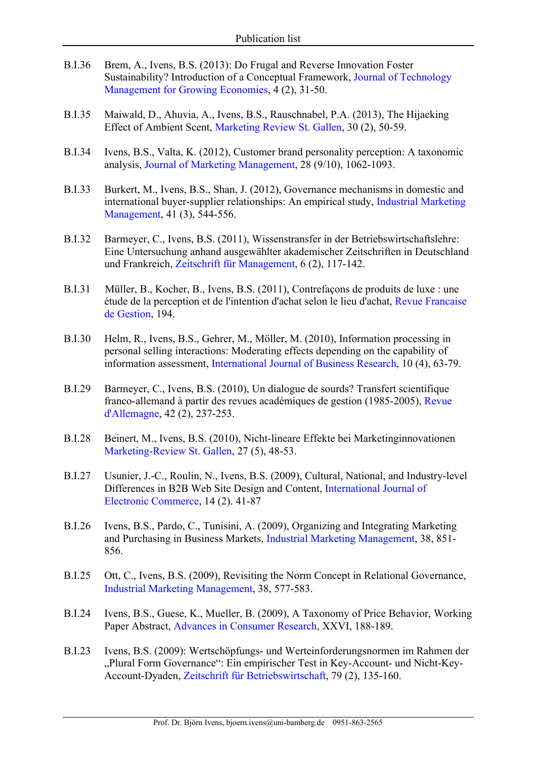- B.I.36 Brem, A., Ivens, B.S. (2013): Do Frugal and Reverse Innovation Foster Sustainability? Introduction of a Conceptual Framework, Journal of Technology Management for Growing Economies, 4 (2), 31-50.
- B.I.35 Maiwald, D., Ahuvia, A., Ivens, B.S., Rauschnabel, P.A. (2013), The Hijacking Effect of Ambient Scent, Marketing Review St. Gallen, 30 (2), 50-59.
- B.I.34 Ivens, B.S., Valta, K. (2012), Customer brand personality perception: A taxonomic analysis, Journal of Marketing Management, 28 (9/10), 1062-1093.
- B.I.33 Burkert, M., Ivens, B.S., Shan, J. (2012), Governance mechanisms in domestic and international buyer-supplier relationships: An empirical study, Industrial Marketing Management, 41 (3), 544-556.
- B.I.32 Barmeyer, C., Ivens, B.S. (2011), Wissenstransfer in der Betriebswirtschaftslehre: Eine Untersuchung anhand ausgewählter akademischer Zeitschriften in Deutschland und Frankreich, Zeitschrift für Management, 6 (2), 117-142.
- B.I.31 Müller, B., Kocher, B., Ivens, B.S. (2011), Contrefaçons de produits de luxe : une étude de la perception et de l'intention d'achat selon le lieu d'achat, Revue Francaise de Gestion, 194.
- B.I.30 Helm, R., Ivens, B.S., Gehrer, M., Möller, M. (2010), Information processing in personal selling interactions: Moderating effects depending on the capability of information assessment, International Journal of Business Research, 10 (4), 63-79.
- B.I.29 Barmeyer, C., Ivens, B.S. (2010), Un dialogue de sourds? Transfert scientifique franco-allemand à partir des revues académiques de gestion (1985-2005), Revue d'Allemagne, 42 (2), 237-253.
- B.I.28 Beinert, M., Ivens, B.S. (2010), Nicht-lineare Effekte bei Marketinginnovationen Marketing-Review St. Gallen, 27 (5), 48-53.
- B.I.27 Usunier, J.-C., Roulin, N., Ivens, B.S. (2009), Cultural, National, and Industry-level Differences in B2B Web Site Design and Content, International Journal of Electronic Commerce, 14 (2). 41-87
- B.I.26 Ivens, B.S., Pardo, C., Tunisini, A. (2009), Organizing and Integrating Marketing and Purchasing in Business Markets, Industrial Marketing Management, 38, 851- 856.
- B.I.25 Ott, C., Ivens, B.S. (2009), Revisiting the Norm Concept in Relational Governance, Industrial Marketing Management, 38, 577-583.
- B.I.24 Ivens, B.S., Guese, K., Mueller, B. (2009), A Taxonomy of Price Behavior, Working Paper Abstract, Advances in Consumer Research, XXVI, 188-189.
- B.I.23 Ivens, B.S. (2009): Wertschöpfungs- und Werteinforderungsnormen im Rahmen der "Plural Form Governance": Ein empirischer Test in Key-Account- und Nicht-Key-Account-Dyaden, Zeitschrift für Betriebswirtschaft, 79 (2), 135-160.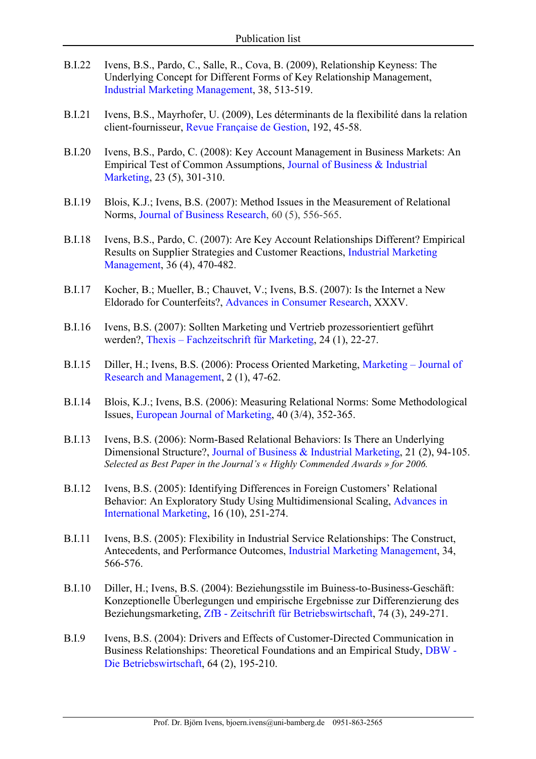- B.I.22 Ivens, B.S., Pardo, C., Salle, R., Cova, B. (2009), Relationship Keyness: The Underlying Concept for Different Forms of Key Relationship Management, Industrial Marketing Management, 38, 513-519.
- B.I.21 Ivens, B.S., Mayrhofer, U. (2009), Les déterminants de la flexibilité dans la relation client-fournisseur, Revue Française de Gestion, 192, 45-58.
- B.I.20 Ivens, B.S., Pardo, C. (2008): Key Account Management in Business Markets: An Empirical Test of Common Assumptions, Journal of Business & Industrial Marketing, 23 (5), 301-310.
- B.I.19 Blois, K.J.; Ivens, B.S. (2007): Method Issues in the Measurement of Relational Norms, Journal of Business Research, 60 (5), 556-565.
- B.I.18 Ivens, B.S., Pardo, C. (2007): Are Key Account Relationships Different? Empirical Results on Supplier Strategies and Customer Reactions, Industrial Marketing Management, 36 (4), 470-482.
- B.I.17 Kocher, B.; Mueller, B.; Chauvet, V.; Ivens, B.S. (2007): Is the Internet a New Eldorado for Counterfeits?, Advances in Consumer Research, XXXV.
- B.I.16 Ivens, B.S. (2007): Sollten Marketing und Vertrieb prozessorientiert geführt werden?, Thexis – Fachzeitschrift für Marketing, 24 (1), 22-27.
- B.I.15 Diller, H.; Ivens, B.S. (2006): Process Oriented Marketing, Marketing Journal of Research and Management, 2 (1), 47-62.
- B.I.14 Blois, K.J.; Ivens, B.S. (2006): Measuring Relational Norms: Some Methodological Issues, European Journal of Marketing, 40 (3/4), 352-365.
- B.I.13 Ivens, B.S. (2006): Norm-Based Relational Behaviors: Is There an Underlying Dimensional Structure?, Journal of Business & Industrial Marketing, 21 (2), 94-105. *Selected as Best Paper in the Journal's « Highly Commended Awards » for 2006.*
- B.I.12 Ivens, B.S. (2005): Identifying Differences in Foreign Customers' Relational Behavior: An Exploratory Study Using Multidimensional Scaling, Advances in International Marketing, 16 (10), 251-274.
- B.I.11 Ivens, B.S. (2005): Flexibility in Industrial Service Relationships: The Construct, Antecedents, and Performance Outcomes, Industrial Marketing Management, 34, 566-576.
- B.I.10 Diller, H.; Ivens, B.S. (2004): Beziehungsstile im Buiness-to-Business-Geschäft: Konzeptionelle Überlegungen und empirische Ergebnisse zur Differenzierung des Beziehungsmarketing, ZfB - Zeitschrift für Betriebswirtschaft, 74 (3), 249-271.
- B.I.9 Ivens, B.S. (2004): Drivers and Effects of Customer-Directed Communication in Business Relationships: Theoretical Foundations and an Empirical Study, DBW - Die Betriebswirtschaft, 64 (2), 195-210.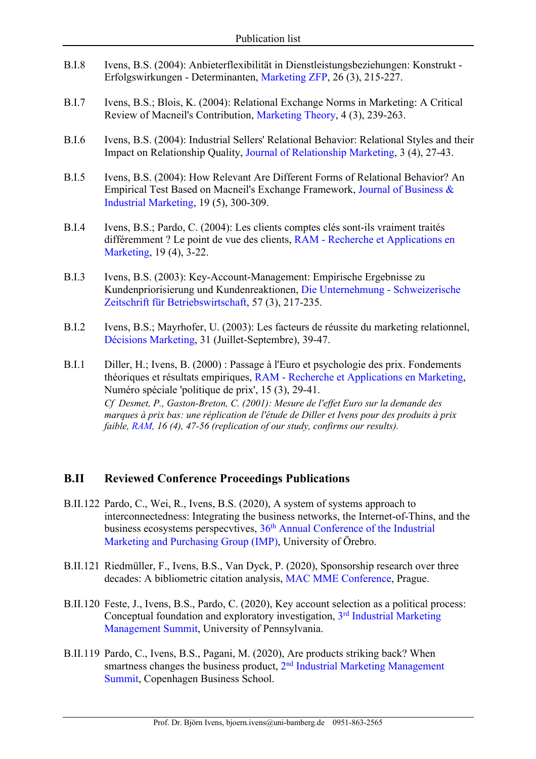- B.I.8 Ivens, B.S. (2004): Anbieterflexibilität in Dienstleistungsbeziehungen: Konstrukt Erfolgswirkungen - Determinanten, Marketing ZFP, 26 (3), 215-227.
- B.I.7 Ivens, B.S.; Blois, K. (2004): Relational Exchange Norms in Marketing: A Critical Review of Macneil's Contribution, Marketing Theory, 4 (3), 239-263.
- B.I.6 Ivens, B.S. (2004): Industrial Sellers' Relational Behavior: Relational Styles and their Impact on Relationship Quality, Journal of Relationship Marketing, 3 (4), 27-43.
- B.I.5 Ivens, B.S. (2004): How Relevant Are Different Forms of Relational Behavior? An Empirical Test Based on Macneil's Exchange Framework, Journal of Business & Industrial Marketing, 19 (5), 300-309.
- B.I.4 Ivens, B.S.; Pardo, C. (2004): Les clients comptes clés sont-ils vraiment traités différemment ? Le point de vue des clients, RAM - Recherche et Applications en Marketing, 19 (4), 3-22.
- B.I.3 Ivens, B.S. (2003): Key-Account-Management: Empirische Ergebnisse zu Kundenpriorisierung und Kundenreaktionen, Die Unternehmung - Schweizerische Zeitschrift für Betriebswirtschaft, 57 (3), 217-235.
- B.I.2 Ivens, B.S.; Mayrhofer, U. (2003): Les facteurs de réussite du marketing relationnel, Décisions Marketing, 31 (Juillet-Septembre), 39-47.
- B.I.1 Diller, H.; Ivens, B. (2000) : Passage à l'Euro et psychologie des prix. Fondements théoriques et résultats empiriques, RAM - Recherche et Applications en Marketing, Numéro spéciale 'politique de prix', 15 (3), 29-41. *Cf Desmet, P., Gaston-Breton, C. (2001): Mesure de l'effet Euro sur la demande des marques à prix bas: une réplication de l'étude de Diller et Ivens pour des produits à prix faible, RAM, 16 (4), 47-56 (replication of our study, confirms our results).*

### **B.II Reviewed Conference Proceedings Publications**

- B.II.122 Pardo, C., Wei, R., Ivens, B.S. (2020), A system of systems approach to interconnectedness: Integrating the business networks, the Internet-of-Thins, and the business ecosystems perspecvtives,  $36<sup>th</sup>$  Annual Conference of the Industrial Marketing and Purchasing Group (IMP), University of Örebro.
- B.II.121 Riedmüller, F., Ivens, B.S., Van Dyck, P. (2020), Sponsorship research over three decades: A bibliometric citation analysis, MAC MME Conference, Prague.
- B.II.120 Feste, J., Ivens, B.S., Pardo, C. (2020), Key account selection as a political process: Conceptual foundation and exploratory investigation, 3rd Industrial Marketing Management Summit, University of Pennsylvania.
- B.II.119 Pardo, C., Ivens, B.S., Pagani, M. (2020), Are products striking back? When smartness changes the business product,  $2<sup>nd</sup>$  Industrial Marketing Management Summit, Copenhagen Business School.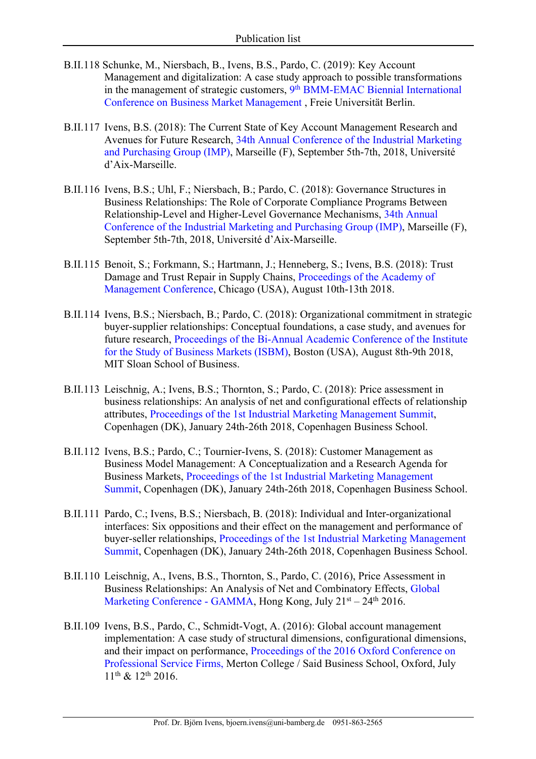- B.II.118 Schunke, M., Niersbach, B., Ivens, B.S., Pardo, C. (2019): Key Account Management and digitalization: A case study approach to possible transformations in the management of strategic customers, 9<sup>th</sup> BMM-EMAC Biennial International Conference on Business Market Management , Freie Universität Berlin.
- B.II.117 Ivens, B.S. (2018): The Current State of Key Account Management Research and Avenues for Future Research, 34th Annual Conference of the Industrial Marketing and Purchasing Group (IMP), Marseille (F), September 5th-7th, 2018, Université d'Aix-Marseille.
- B.II.116 Ivens, B.S.; Uhl, F.; Niersbach, B.; Pardo, C. (2018): Governance Structures in Business Relationships: The Role of Corporate Compliance Programs Between Relationship-Level and Higher-Level Governance Mechanisms, 34th Annual Conference of the Industrial Marketing and Purchasing Group (IMP), Marseille (F), September 5th-7th, 2018, Université d'Aix-Marseille.
- B.II.115 Benoit, S.; Forkmann, S.; Hartmann, J.; Henneberg, S.; Ivens, B.S. (2018): Trust Damage and Trust Repair in Supply Chains, Proceedings of the Academy of Management Conference, Chicago (USA), August 10th-13th 2018.
- B.II.114 Ivens, B.S.; Niersbach, B.; Pardo, C. (2018): Organizational commitment in strategic buyer-supplier relationships: Conceptual foundations, a case study, and avenues for future research, Proceedings of the Bi-Annual Academic Conference of the Institute for the Study of Business Markets (ISBM), Boston (USA), August 8th-9th 2018, MIT Sloan School of Business.
- B.II.113 Leischnig, A.; Ivens, B.S.; Thornton, S.; Pardo, C. (2018): Price assessment in business relationships: An analysis of net and configurational effects of relationship attributes, Proceedings of the 1st Industrial Marketing Management Summit, Copenhagen (DK), January 24th-26th 2018, Copenhagen Business School.
- B.II.112 Ivens, B.S.; Pardo, C.; Tournier-Ivens, S. (2018): Customer Management as Business Model Management: A Conceptualization and a Research Agenda for Business Markets, Proceedings of the 1st Industrial Marketing Management Summit, Copenhagen (DK), January 24th-26th 2018, Copenhagen Business School.
- B.II.111 Pardo, C.; Ivens, B.S.; Niersbach, B. (2018): Individual and Inter-organizational interfaces: Six oppositions and their effect on the management and performance of buyer-seller relationships, Proceedings of the 1st Industrial Marketing Management Summit, Copenhagen (DK), January 24th-26th 2018, Copenhagen Business School.
- B.II.110 Leischnig, A., Ivens, B.S., Thornton, S., Pardo, C. (2016), Price Assessment in Business Relationships: An Analysis of Net and Combinatory Effects, Global Marketing Conference - GAMMA, Hong Kong, July  $21<sup>st</sup> - 24<sup>th</sup> 2016$ .
- B.II.109 Ivens, B.S., Pardo, C., Schmidt-Vogt, A. (2016): Global account management implementation: A case study of structural dimensions, configurational dimensions, and their impact on performance, Proceedings of the 2016 Oxford Conference on Professional Service Firms, Merton College / Said Business School, Oxford, July 11th & 12th 2016.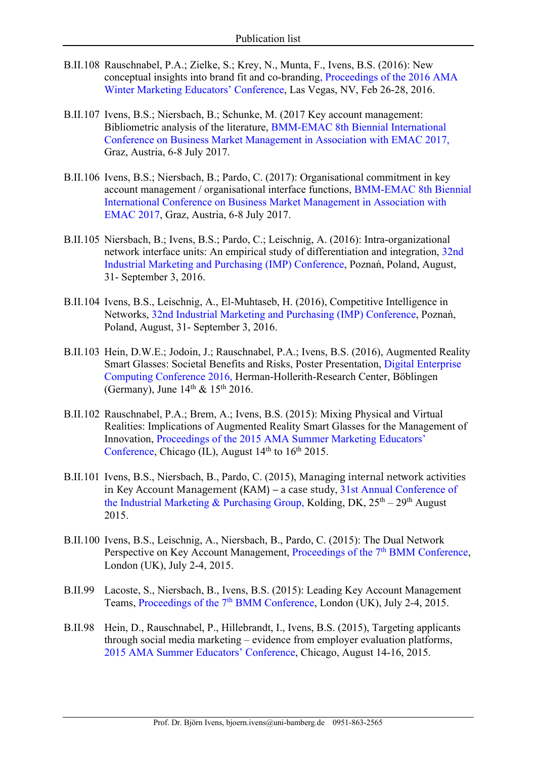- B.II.108 Rauschnabel, P.A.; Zielke, S.; Krey, N., Munta, F., Ivens, B.S. (2016): New conceptual insights into brand fit and co-branding, Proceedings of the 2016 AMA Winter Marketing Educators' Conference, Las Vegas, NV, Feb 26-28, 2016.
- B.II.107 Ivens, B.S.; Niersbach, B.; Schunke, M. (2017 Key account management: Bibliometric analysis of the literature, BMM-EMAC 8th Biennial International Conference on Business Market Management in Association with EMAC 2017, Graz, Austria, 6-8 July 2017.
- B.II.106 Ivens, B.S.; Niersbach, B.; Pardo, C. (2017): Organisational commitment in key account management / organisational interface functions, BMM-EMAC 8th Biennial International Conference on Business Market Management in Association with EMAC 2017, Graz, Austria, 6-8 July 2017.
- B.II.105 Niersbach, B.; Ivens, B.S.; Pardo, C.; Leischnig, A. (2016): Intra-organizational network interface units: An empirical study of differentiation and integration, 32nd Industrial Marketing and Purchasing (IMP) Conference, Poznań, Poland, August, 31- September 3, 2016.
- B.II.104 Ivens, B.S., Leischnig, A., El-Muhtaseb, H. (2016), Competitive Intelligence in Networks, 32nd Industrial Marketing and Purchasing (IMP) Conference, Poznań, Poland, August, 31- September 3, 2016.
- B.II.103 Hein, D.W.E.; Jodoin, J.; Rauschnabel, P.A.; Ivens, B.S. (2016), Augmented Reality Smart Glasses: Societal Benefits and Risks, Poster Presentation, Digital Enterprise Computing Conference 2016, Herman-Hollerith-Research Center, Böblingen (Germany), June  $14<sup>th</sup>$  &  $15<sup>th</sup>$  2016.
- B.II.102 Rauschnabel, P.A.; Brem, A.; Ivens, B.S. (2015): Mixing Physical and Virtual Realities: Implications of Augmented Reality Smart Glasses for the Management of Innovation, Proceedings of the 2015 AMA Summer Marketing Educators' Conference, Chicago (IL), August  $14<sup>th</sup>$  to  $16<sup>th</sup>$  2015.
- B.II.101 Ivens, B.S., Niersbach, B., Pardo, C. (2015), Managing internal network activities in Key Account Management (KAM) – a case study, 31st Annual Conference of the Industrial Marketing & Purchasing Group, Kolding, DK,  $25<sup>th</sup> - 29<sup>th</sup>$  August 2015.
- B.II.100 Ivens, B.S., Leischnig, A., Niersbach, B., Pardo, C. (2015): The Dual Network Perspective on Key Account Management, Proceedings of the 7<sup>th</sup> BMM Conference, London (UK), July 2-4, 2015.
- B.II.99 Lacoste, S., Niersbach, B., Ivens, B.S. (2015): Leading Key Account Management Teams, Proceedings of the 7<sup>th</sup> BMM Conference, London (UK), July 2-4, 2015.
- B.II.98 Hein, D., Rauschnabel, P., Hillebrandt, I., Ivens, B.S. (2015), Targeting applicants through social media marketing – evidence from employer evaluation platforms, 2015 AMA Summer Educators' Conference, Chicago, August 14-16, 2015.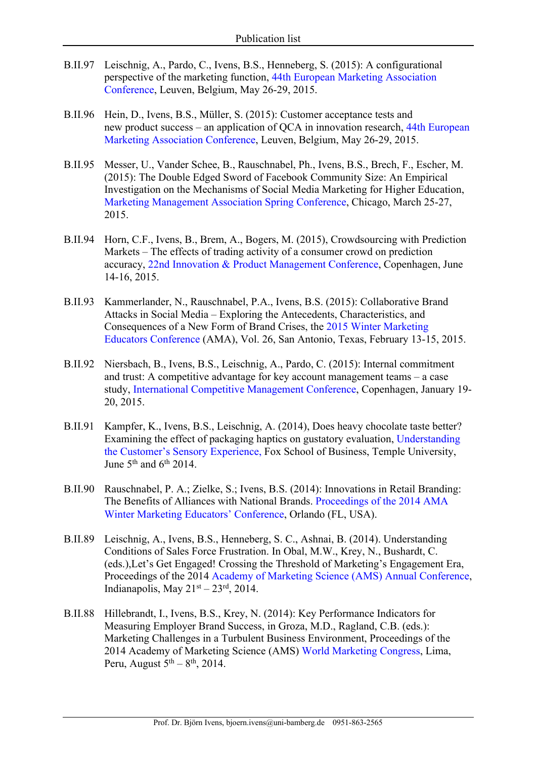- B.II.97 Leischnig, A., Pardo, C., Ivens, B.S., Henneberg, S. (2015): A configurational perspective of the marketing function, 44th European Marketing Association Conference, Leuven, Belgium, May 26-29, 2015.
- B.II.96 Hein, D., Ivens, B.S., Müller, S. (2015): Customer acceptance tests and new product success – an application of QCA in innovation research, 44th European Marketing Association Conference, Leuven, Belgium, May 26-29, 2015.
- B.II.95 Messer, U., Vander Schee, B., Rauschnabel, Ph., Ivens, B.S., Brech, F., Escher, M. (2015): The Double Edged Sword of Facebook Community Size: An Empirical Investigation on the Mechanisms of Social Media Marketing for Higher Education, Marketing Management Association Spring Conference, Chicago, March 25-27, 2015.
- B.II.94 Horn, C.F., Ivens, B., Brem, A., Bogers, M. (2015), Crowdsourcing with Prediction Markets – The effects of trading activity of a consumer crowd on prediction accuracy, 22nd Innovation & Product Management Conference, Copenhagen, June 14-16, 2015.
- B.II.93 Kammerlander, N., Rauschnabel, P.A., Ivens, B.S. (2015): Collaborative Brand Attacks in Social Media – Exploring the Antecedents, Characteristics, and Consequences of a New Form of Brand Crises, the 2015 Winter Marketing Educators Conference (AMA), Vol. 26, San Antonio, Texas, February 13-15, 2015.
- B.II.92 Niersbach, B., Ivens, B.S., Leischnig, A., Pardo, C. (2015): Internal commitment and trust: A competitive advantage for key account management teams – a case study, International Competitive Management Conference, Copenhagen, January 19- 20, 2015.
- B.II.91 Kampfer, K., Ivens, B.S., Leischnig, A. (2014), Does heavy chocolate taste better? Examining the effect of packaging haptics on gustatory evaluation, Understanding the Customer's Sensory Experience, Fox School of Business, Temple University, June  $5<sup>th</sup>$  and  $6<sup>th</sup>$  2014.
- B.II.90 Rauschnabel, P. A.; Zielke, S.; Ivens, B.S. (2014): Innovations in Retail Branding: The Benefits of Alliances with National Brands. Proceedings of the 2014 AMA Winter Marketing Educators' Conference, Orlando (FL, USA).
- B.II.89 Leischnig, A., Ivens, B.S., Henneberg, S. C., Ashnai, B. (2014). Understanding Conditions of Sales Force Frustration. In Obal, M.W., Krey, N., Bushardt, C. (eds.),Let's Get Engaged! Crossing the Threshold of Marketing's Engagement Era, Proceedings of the 2014 Academy of Marketing Science (AMS) Annual Conference, Indianapolis, May  $21<sup>st</sup> - 23<sup>rd</sup>$ , 2014.
- B.II.88 Hillebrandt, I., Ivens, B.S., Krey, N. (2014): Key Performance Indicators for Measuring Employer Brand Success, in Groza, M.D., Ragland, C.B. (eds.): Marketing Challenges in a Turbulent Business Environment, Proceedings of the 2014 Academy of Marketing Science (AMS) World Marketing Congress, Lima, Peru, August  $5<sup>th</sup> - 8<sup>th</sup>$ , 2014.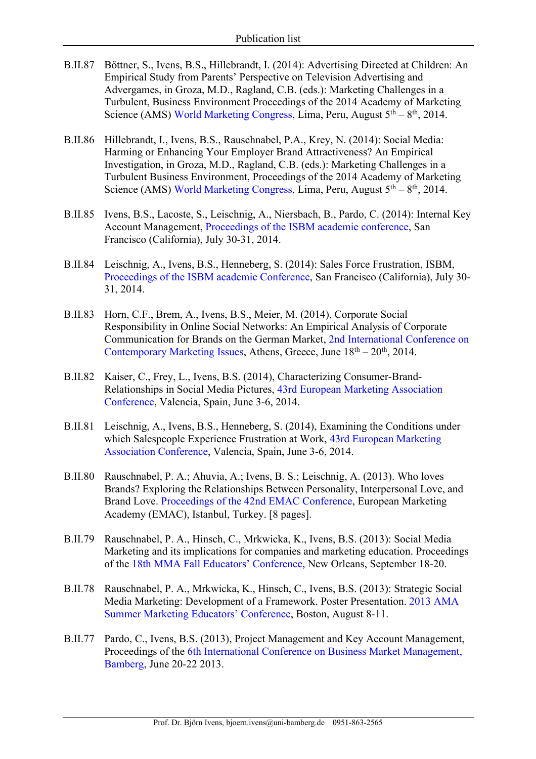- B.II.87 Böttner, S., Ivens, B.S., Hillebrandt, I. (2014): Advertising Directed at Children: An Empirical Study from Parents' Perspective on Television Advertising and Advergames, in Groza, M.D., Ragland, C.B. (eds.): Marketing Challenges in a Turbulent, Business Environment Proceedings of the 2014 Academy of Marketing Science (AMS) World Marketing Congress, Lima, Peru, August  $5<sup>th</sup> - 8<sup>th</sup>$ , 2014.
- B.II.86 Hillebrandt, I., Ivens, B.S., Rauschnabel, P.A., Krey, N. (2014): Social Media: Harming or Enhancing Your Employer Brand Attractiveness? An Empirical Investigation, in Groza, M.D., Ragland, C.B. (eds.): Marketing Challenges in a Turbulent Business Environment, Proceedings of the 2014 Academy of Marketing Science (AMS) World Marketing Congress, Lima, Peru, August  $5<sup>th</sup> - 8<sup>th</sup>$ , 2014.
- B.II.85 Ivens, B.S., Lacoste, S., Leischnig, A., Niersbach, B., Pardo, C. (2014): Internal Key Account Management, Proceedings of the ISBM academic conference, San Francisco (California), July 30-31, 2014.
- B.II.84 Leischnig, A., Ivens, B.S., Henneberg, S. (2014): Sales Force Frustration, ISBM, Proceedings of the ISBM academic Conference, San Francisco (California), July 30- 31, 2014.
- B.II.83 Horn, C.F., Brem, A., Ivens, B.S., Meier, M. (2014), Corporate Social Responsibility in Online Social Networks: An Empirical Analysis of Corporate Communication for Brands on the German Market, 2nd International Conference on Contemporary Marketing Issues, Athens, Greece, June  $18<sup>th</sup> - 20<sup>th</sup>$ , 2014.
- B.II.82 Kaiser, C., Frey, L., Ivens, B.S. (2014), Characterizing Consumer-Brand-Relationships in Social Media Pictures, 43rd European Marketing Association Conference, Valencia, Spain, June 3-6, 2014.
- B.II.81 Leischnig, A., Ivens, B.S., Henneberg, S. (2014), Examining the Conditions under which Salespeople Experience Frustration at Work, 43rd European Marketing Association Conference, Valencia, Spain, June 3-6, 2014.
- B.II.80 Rauschnabel, P. A.; Ahuvia, A.; Ivens, B. S.; Leischnig, A. (2013). Who loves Brands? Exploring the Relationships Between Personality, Interpersonal Love, and Brand Love. Proceedings of the 42nd EMAC Conference, European Marketing Academy (EMAC), Istanbul, Turkey. [8 pages].
- B.II.79 Rauschnabel, P. A., Hinsch, C., Mrkwicka, K., Ivens, B.S. (2013): Social Media Marketing and its implications for companies and marketing education. Proceedings of the 18th MMA Fall Educators' Conference, New Orleans, September 18-20.
- B.II.78 Rauschnabel, P. A., Mrkwicka, K., Hinsch, C., Ivens, B.S. (2013): Strategic Social Media Marketing: Development of a Framework. Poster Presentation. 2013 AMA Summer Marketing Educators' Conference, Boston, August 8-11.
- B.II.77 Pardo, C., Ivens, B.S. (2013), Project Management and Key Account Management, Proceedings of the 6th International Conference on Business Market Management, Bamberg, June 20-22 2013.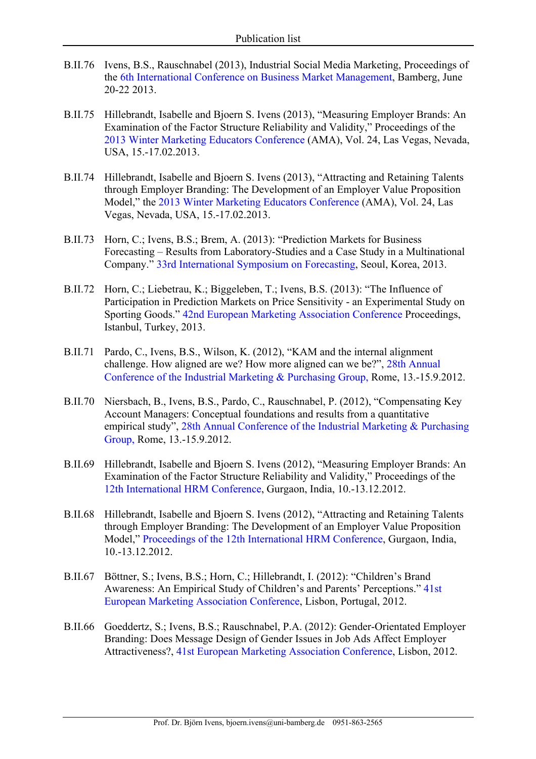- B.II.76 Ivens, B.S., Rauschnabel (2013), Industrial Social Media Marketing, Proceedings of the 6th International Conference on Business Market Management, Bamberg, June 20-22 2013.
- B.II.75 Hillebrandt, Isabelle and Bjoern S. Ivens (2013), "Measuring Employer Brands: An Examination of the Factor Structure Reliability and Validity," Proceedings of the 2013 Winter Marketing Educators Conference (AMA), Vol. 24, Las Vegas, Nevada, USA, 15.-17.02.2013.
- B.II.74 Hillebrandt, Isabelle and Bjoern S. Ivens (2013), "Attracting and Retaining Talents through Employer Branding: The Development of an Employer Value Proposition Model," the 2013 Winter Marketing Educators Conference (AMA), Vol. 24, Las Vegas, Nevada, USA, 15.-17.02.2013.
- B.II.73 Horn, C.; Ivens, B.S.; Brem, A. (2013): "Prediction Markets for Business Forecasting – Results from Laboratory-Studies and a Case Study in a Multinational Company." 33rd International Symposium on Forecasting, Seoul, Korea, 2013.
- B.II.72 Horn, C.; Liebetrau, K.; Biggeleben, T.; Ivens, B.S. (2013): "The Influence of Participation in Prediction Markets on Price Sensitivity - an Experimental Study on Sporting Goods." 42nd European Marketing Association Conference Proceedings, Istanbul, Turkey, 2013.
- B.II.71 Pardo, C., Ivens, B.S., Wilson, K. (2012), "KAM and the internal alignment challenge. How aligned are we? How more aligned can we be?", 28th Annual Conference of the Industrial Marketing & Purchasing Group, Rome, 13.-15.9.2012.
- B.II.70 Niersbach, B., Ivens, B.S., Pardo, C., Rauschnabel, P. (2012), "Compensating Key Account Managers: Conceptual foundations and results from a quantitative empirical study", 28th Annual Conference of the Industrial Marketing & Purchasing Group, Rome, 13.-15.9.2012.
- B.II.69 Hillebrandt, Isabelle and Bjoern S. Ivens (2012), "Measuring Employer Brands: An Examination of the Factor Structure Reliability and Validity," Proceedings of the 12th International HRM Conference, Gurgaon, India, 10.-13.12.2012.
- B.II.68 Hillebrandt, Isabelle and Bjoern S. Ivens (2012), "Attracting and Retaining Talents through Employer Branding: The Development of an Employer Value Proposition Model," Proceedings of the 12th International HRM Conference, Gurgaon, India, 10.-13.12.2012.
- B.II.67 Böttner, S.; Ivens, B.S.; Horn, C.; Hillebrandt, I. (2012): "Children's Brand Awareness: An Empirical Study of Children's and Parents' Perceptions." 41st European Marketing Association Conference, Lisbon, Portugal, 2012.
- B.II.66 Goeddertz, S.; Ivens, B.S.; Rauschnabel, P.A. (2012): Gender-Orientated Employer Branding: Does Message Design of Gender Issues in Job Ads Affect Employer Attractiveness?, 41st European Marketing Association Conference, Lisbon, 2012.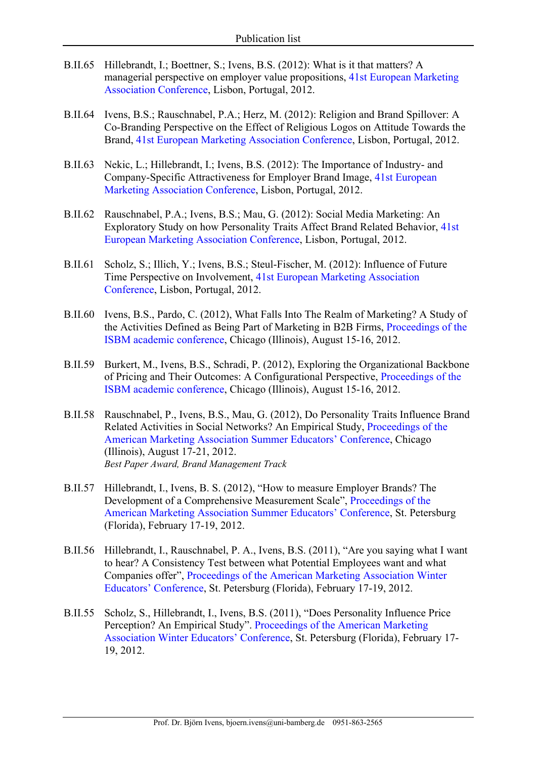- B.II.65 Hillebrandt, I.; Boettner, S.; Ivens, B.S. (2012): What is it that matters? A managerial perspective on employer value propositions, 41st European Marketing Association Conference, Lisbon, Portugal, 2012.
- B.II.64 Ivens, B.S.; Rauschnabel, P.A.; Herz, M. (2012): Religion and Brand Spillover: A Co-Branding Perspective on the Effect of Religious Logos on Attitude Towards the Brand, 41st European Marketing Association Conference, Lisbon, Portugal, 2012.
- B.II.63 Nekic, L.; Hillebrandt, I.; Ivens, B.S. (2012): The Importance of Industry- and Company-Specific Attractiveness for Employer Brand Image, 41st European Marketing Association Conference, Lisbon, Portugal, 2012.
- B.II.62 Rauschnabel, P.A.; Ivens, B.S.; Mau, G. (2012): Social Media Marketing: An Exploratory Study on how Personality Traits Affect Brand Related Behavior, 41st European Marketing Association Conference, Lisbon, Portugal, 2012.
- B.II.61 Scholz, S.; Illich, Y.; Ivens, B.S.; Steul-Fischer, M. (2012): Influence of Future Time Perspective on Involvement, 41st European Marketing Association Conference, Lisbon, Portugal, 2012.
- B.II.60 Ivens, B.S., Pardo, C. (2012), What Falls Into The Realm of Marketing? A Study of the Activities Defined as Being Part of Marketing in B2B Firms, Proceedings of the ISBM academic conference, Chicago (Illinois), August 15-16, 2012.
- B.II.59 Burkert, M., Ivens, B.S., Schradi, P. (2012), Exploring the Organizational Backbone of Pricing and Their Outcomes: A Configurational Perspective, Proceedings of the ISBM academic conference, Chicago (Illinois), August 15-16, 2012.
- B.II.58 Rauschnabel, P., Ivens, B.S., Mau, G. (2012), Do Personality Traits Influence Brand Related Activities in Social Networks? An Empirical Study, Proceedings of the American Marketing Association Summer Educators' Conference, Chicago (Illinois), August 17-21, 2012. *Best Paper Award, Brand Management Track*
- B.II.57 Hillebrandt, I., Ivens, B. S. (2012), "How to measure Employer Brands? The Development of a Comprehensive Measurement Scale", Proceedings of the American Marketing Association Summer Educators' Conference, St. Petersburg (Florida), February 17-19, 2012.
- B.II.56 Hillebrandt, I., Rauschnabel, P. A., Ivens, B.S. (2011), "Are you saying what I want to hear? A Consistency Test between what Potential Employees want and what Companies offer", Proceedings of the American Marketing Association Winter Educators' Conference, St. Petersburg (Florida), February 17-19, 2012.
- B.II.55 Scholz, S., Hillebrandt, I., Ivens, B.S. (2011), "Does Personality Influence Price Perception? An Empirical Study". Proceedings of the American Marketing Association Winter Educators' Conference, St. Petersburg (Florida), February 17- 19, 2012.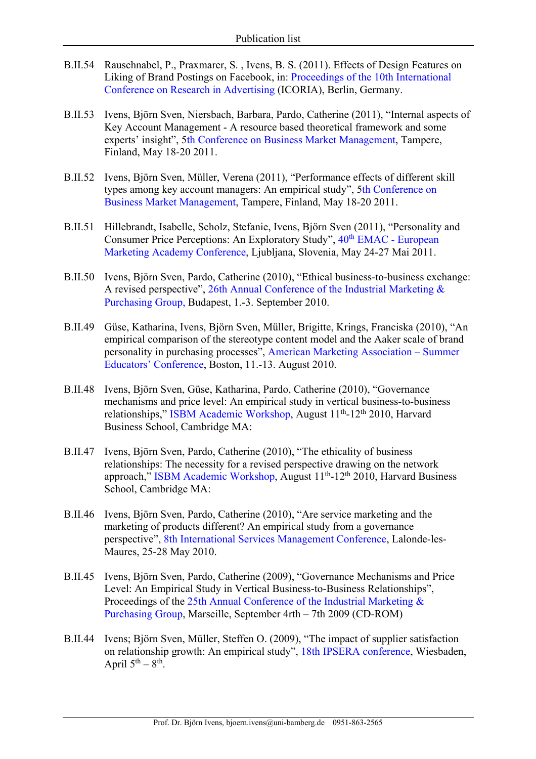- B.II.54 Rauschnabel, P., Praxmarer, S. , Ivens, B. S. (2011). Effects of Design Features on Liking of Brand Postings on Facebook, in: Proceedings of the 10th International Conference on Research in Advertising (ICORIA), Berlin, Germany.
- B.II.53 Ivens, Björn Sven, Niersbach, Barbara, Pardo, Catherine (2011), "Internal aspects of Key Account Management - A resource based theoretical framework and some experts' insight", 5th Conference on Business Market Management, Tampere, Finland, May 18-20 2011.
- B.II.52 Ivens, Björn Sven, Müller, Verena (2011), "Performance effects of different skill types among key account managers: An empirical study", 5th Conference on Business Market Management, Tampere, Finland, May 18-20 2011.
- B.II.51 Hillebrandt, Isabelle, Scholz, Stefanie, Ivens, Björn Sven (2011), "Personality and Consumer Price Perceptions: An Exploratory Study",  $40<sup>th</sup> EMAC - European$ Marketing Academy Conference, Ljubljana, Slovenia, May 24-27 Mai 2011.
- B.II.50 Ivens, Björn Sven, Pardo, Catherine (2010), "Ethical business-to-business exchange: A revised perspective", 26th Annual Conference of the Industrial Marketing & Purchasing Group, Budapest, 1.-3. September 2010.
- B.II.49 Güse, Katharina, Ivens, Björn Sven, Müller, Brigitte, Krings, Franciska (2010), "An empirical comparison of the stereotype content model and the Aaker scale of brand personality in purchasing processes", American Marketing Association – Summer Educators' Conference, Boston, 11.-13. August 2010.
- B.II.48 Ivens, Björn Sven, Güse, Katharina, Pardo, Catherine (2010), "Governance mechanisms and price level: An empirical study in vertical business-to-business relationships," ISBM Academic Workshop, August 11<sup>th</sup>-12<sup>th</sup> 2010, Harvard Business School, Cambridge MA:
- B.II.47 Ivens, Björn Sven, Pardo, Catherine (2010), "The ethicality of business relationships: The necessity for a revised perspective drawing on the network approach," ISBM Academic Workshop, August  $11<sup>th</sup>$ -12<sup>th</sup> 2010, Harvard Business School, Cambridge MA:
- B.II.46 Ivens, Björn Sven, Pardo, Catherine (2010), "Are service marketing and the marketing of products different? An empirical study from a governance perspective", 8th International Services Management Conference, Lalonde-les-Maures, 25-28 May 2010.
- B.II.45 Ivens, Björn Sven, Pardo, Catherine (2009), "Governance Mechanisms and Price Level: An Empirical Study in Vertical Business-to-Business Relationships", Proceedings of the 25th Annual Conference of the Industrial Marketing & Purchasing Group, Marseille, September 4rth – 7th 2009 (CD-ROM)
- B.II.44 Ivens; Björn Sven, Müller, Steffen O. (2009), "The impact of supplier satisfaction on relationship growth: An empirical study", 18th IPSERA conference, Wiesbaden, April  $5^{th} - 8^{th}$ .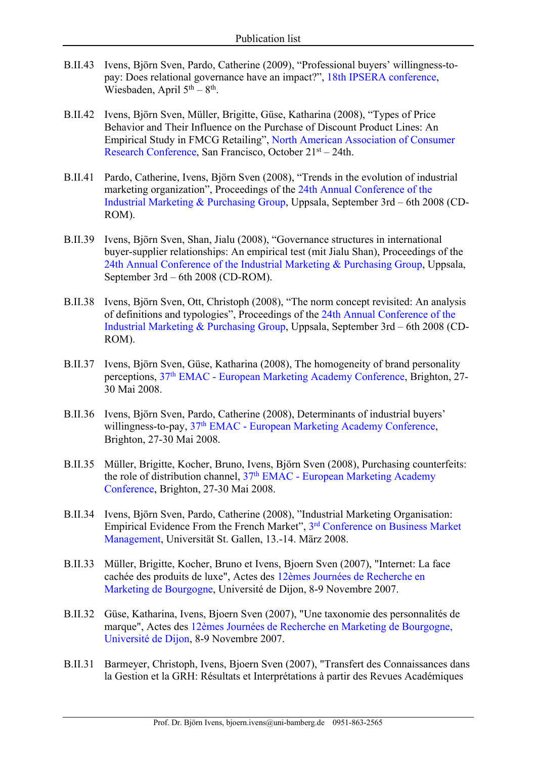- B.II.43 Ivens, Björn Sven, Pardo, Catherine (2009), "Professional buyers' willingness-topay: Does relational governance have an impact?", 18th IPSERA conference, Wiesbaden, April  $5<sup>th</sup> - 8<sup>th</sup>$ .
- B.II.42 Ivens, Björn Sven, Müller, Brigitte, Güse, Katharina (2008), "Types of Price Behavior and Their Influence on the Purchase of Discount Product Lines: An Empirical Study in FMCG Retailing", North American Association of Consumer Research Conference, San Francisco, October 21st – 24th.
- B.II.41 Pardo, Catherine, Ivens, Björn Sven (2008), "Trends in the evolution of industrial marketing organization", Proceedings of the 24th Annual Conference of the Industrial Marketing & Purchasing Group, Uppsala, September 3rd – 6th 2008 (CD-ROM).
- B.II.39 Ivens, Björn Sven, Shan, Jialu (2008), "Governance structures in international buyer-supplier relationships: An empirical test (mit Jialu Shan), Proceedings of the 24th Annual Conference of the Industrial Marketing & Purchasing Group, Uppsala, September 3rd – 6th 2008 (CD-ROM).
- B.II.38 Ivens, Björn Sven, Ott, Christoph (2008), "The norm concept revisited: An analysis of definitions and typologies", Proceedings of the 24th Annual Conference of the Industrial Marketing & Purchasing Group, Uppsala, September 3rd – 6th 2008 (CD-ROM).
- B.II.37 Ivens, Björn Sven, Güse, Katharina (2008), The homogeneity of brand personality perceptions, 37th EMAC - European Marketing Academy Conference, Brighton, 27- 30 Mai 2008.
- B.II.36 Ivens, Björn Sven, Pardo, Catherine (2008), Determinants of industrial buyers' willingness-to-pay, 37<sup>th</sup> EMAC - European Marketing Academy Conference, Brighton, 27-30 Mai 2008.
- B.II.35 Müller, Brigitte, Kocher, Bruno, Ivens, Björn Sven (2008), Purchasing counterfeits: the role of distribution channel,  $37<sup>th</sup> EMAC$  - European Marketing Academy Conference, Brighton, 27-30 Mai 2008.
- B.II.34 Ivens, Björn Sven, Pardo, Catherine (2008), "Industrial Marketing Organisation: Empirical Evidence From the French Market", 3rd Conference on Business Market Management, Universität St. Gallen, 13.-14. März 2008.
- B.II.33 Müller, Brigitte, Kocher, Bruno et Ivens, Bjoern Sven (2007), "Internet: La face cachée des produits de luxe", Actes des 12èmes Journées de Recherche en Marketing de Bourgogne, Université de Dijon, 8-9 Novembre 2007.
- B.II.32 Güse, Katharina, Ivens, Bjoern Sven (2007), "Une taxonomie des personnalités de marque", Actes des 12èmes Journées de Recherche en Marketing de Bourgogne, Université de Dijon, 8-9 Novembre 2007.
- B.II.31 Barmeyer, Christoph, Ivens, Bjoern Sven (2007), "Transfert des Connaissances dans la Gestion et la GRH: Résultats et Interprétations à partir des Revues Académiques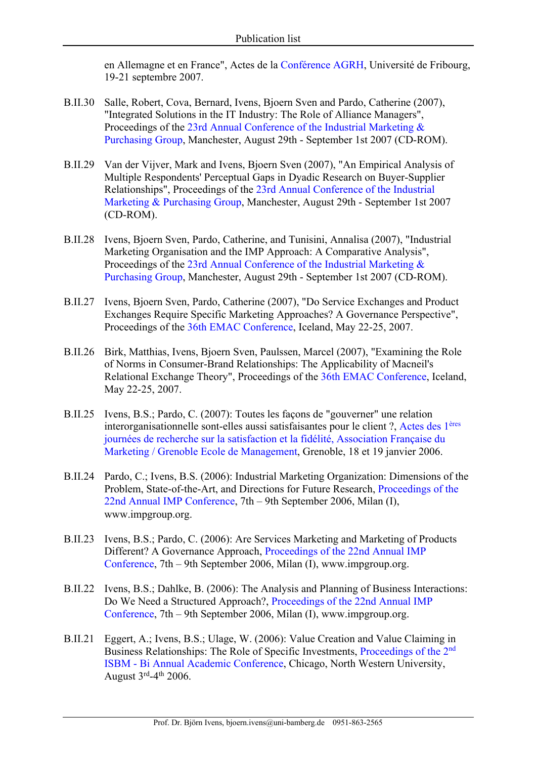en Allemagne et en France", Actes de la Conférence AGRH, Université de Fribourg, 19-21 septembre 2007.

- B.II.30 Salle, Robert, Cova, Bernard, Ivens, Bjoern Sven and Pardo, Catherine (2007), "Integrated Solutions in the IT Industry: The Role of Alliance Managers", Proceedings of the 23rd Annual Conference of the Industrial Marketing & Purchasing Group, Manchester, August 29th - September 1st 2007 (CD-ROM).
- B.II.29 Van der Vijver, Mark and Ivens, Bjoern Sven (2007), "An Empirical Analysis of Multiple Respondents' Perceptual Gaps in Dyadic Research on Buyer-Supplier Relationships", Proceedings of the 23rd Annual Conference of the Industrial Marketing & Purchasing Group, Manchester, August 29th - September 1st 2007 (CD-ROM).
- B.II.28 Ivens, Bjoern Sven, Pardo, Catherine, and Tunisini, Annalisa (2007), "Industrial Marketing Organisation and the IMP Approach: A Comparative Analysis", Proceedings of the 23rd Annual Conference of the Industrial Marketing & Purchasing Group, Manchester, August 29th - September 1st 2007 (CD-ROM).
- B.II.27 Ivens, Bjoern Sven, Pardo, Catherine (2007), "Do Service Exchanges and Product Exchanges Require Specific Marketing Approaches? A Governance Perspective", Proceedings of the 36th EMAC Conference, Iceland, May 22-25, 2007.
- B.II.26 Birk, Matthias, Ivens, Bjoern Sven, Paulssen, Marcel (2007), "Examining the Role of Norms in Consumer-Brand Relationships: The Applicability of Macneil's Relational Exchange Theory", Proceedings of the 36th EMAC Conference, Iceland, May 22-25, 2007.
- B.II.25 Ivens, B.S.; Pardo, C. (2007): Toutes les façons de "gouverner" une relation interorganisationnelle sont-elles aussi satisfaisantes pour le client ?, Actes des 1ères journées de recherche sur la satisfaction et la fidélité, Association Française du Marketing / Grenoble Ecole de Management, Grenoble, 18 et 19 janvier 2006.
- B.II.24 Pardo, C.; Ivens, B.S. (2006): Industrial Marketing Organization: Dimensions of the Problem, State-of-the-Art, and Directions for Future Research, Proceedings of the 22nd Annual IMP Conference, 7th – 9th September 2006, Milan (I), www.impgroup.org.
- B.II.23 Ivens, B.S.; Pardo, C. (2006): Are Services Marketing and Marketing of Products Different? A Governance Approach, Proceedings of the 22nd Annual IMP Conference, 7th – 9th September 2006, Milan (I), www.impgroup.org.
- B.II.22 Ivens, B.S.; Dahlke, B. (2006): The Analysis and Planning of Business Interactions: Do We Need a Structured Approach?, Proceedings of the 22nd Annual IMP Conference, 7th – 9th September 2006, Milan (I), www.impgroup.org.
- B.II.21 Eggert, A.; Ivens, B.S.; Ulage, W. (2006): Value Creation and Value Claiming in Business Relationships: The Role of Specific Investments, Proceedings of the 2nd ISBM - Bi Annual Academic Conference, Chicago, North Western University, August  $3^{\text{rd}} - 4^{\text{th}}$  2006.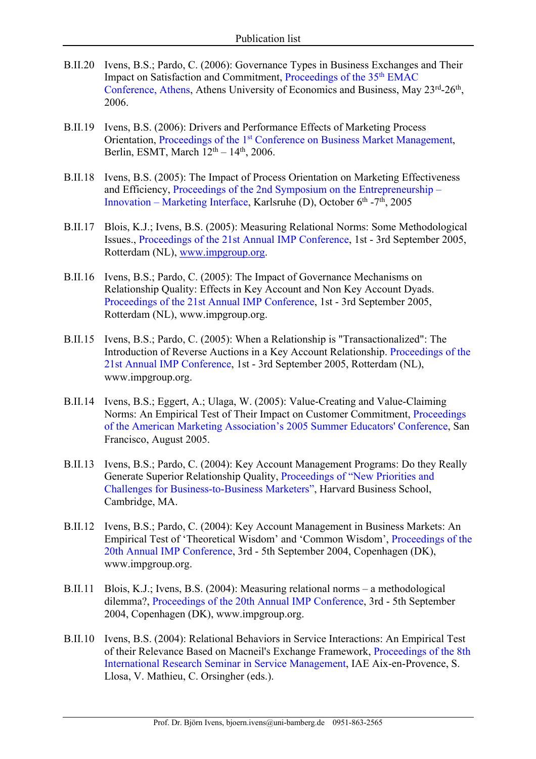- B.II.20 Ivens, B.S.; Pardo, C. (2006): Governance Types in Business Exchanges and Their Impact on Satisfaction and Commitment, Proceedings of the 35<sup>th</sup> EMAC Conference, Athens, Athens University of Economics and Business, May 23rd-26th, 2006.
- B.II.19 Ivens, B.S. (2006): Drivers and Performance Effects of Marketing Process Orientation, Proceedings of the 1st Conference on Business Market Management, Berlin, ESMT, March  $12<sup>th</sup> - 14<sup>th</sup>$ , 2006.
- B.II.18 Ivens, B.S. (2005): The Impact of Process Orientation on Marketing Effectiveness and Efficiency, Proceedings of the 2nd Symposium on the Entrepreneurship – Innovation – Marketing Interface, Karlsruhe (D), October  $6<sup>th</sup> - 7<sup>th</sup>$ , 2005
- B.II.17 Blois, K.J.; Ivens, B.S. (2005): Measuring Relational Norms: Some Methodological Issues., Proceedings of the 21st Annual IMP Conference, 1st - 3rd September 2005, Rotterdam (NL), www.impgroup.org.
- B.II.16 Ivens, B.S.; Pardo, C. (2005): The Impact of Governance Mechanisms on Relationship Quality: Effects in Key Account and Non Key Account Dyads. Proceedings of the 21st Annual IMP Conference, 1st - 3rd September 2005, Rotterdam (NL), www.impgroup.org.
- B.II.15 Ivens, B.S.; Pardo, C. (2005): When a Relationship is "Transactionalized": The Introduction of Reverse Auctions in a Key Account Relationship. Proceedings of the 21st Annual IMP Conference, 1st - 3rd September 2005, Rotterdam (NL), www.impgroup.org.
- B.II.14 Ivens, B.S.; Eggert, A.; Ulaga, W. (2005): Value-Creating and Value-Claiming Norms: An Empirical Test of Their Impact on Customer Commitment, Proceedings of the American Marketing Association's 2005 Summer Educators' Conference, San Francisco, August 2005.
- B.II.13 Ivens, B.S.; Pardo, C. (2004): Key Account Management Programs: Do they Really Generate Superior Relationship Quality, Proceedings of "New Priorities and Challenges for Business-to-Business Marketers", Harvard Business School, Cambridge, MA.
- B.II.12 Ivens, B.S.; Pardo, C. (2004): Key Account Management in Business Markets: An Empirical Test of 'Theoretical Wisdom' and 'Common Wisdom', Proceedings of the 20th Annual IMP Conference, 3rd - 5th September 2004, Copenhagen (DK), www.impgroup.org.
- B.II.11 Blois, K.J.; Ivens, B.S. (2004): Measuring relational norms a methodological dilemma?, Proceedings of the 20th Annual IMP Conference, 3rd - 5th September 2004, Copenhagen (DK), www.impgroup.org.
- B.II.10 Ivens, B.S. (2004): Relational Behaviors in Service Interactions: An Empirical Test of their Relevance Based on Macneil's Exchange Framework, Proceedings of the 8th International Research Seminar in Service Management, IAE Aix-en-Provence, S. Llosa, V. Mathieu, C. Orsingher (eds.).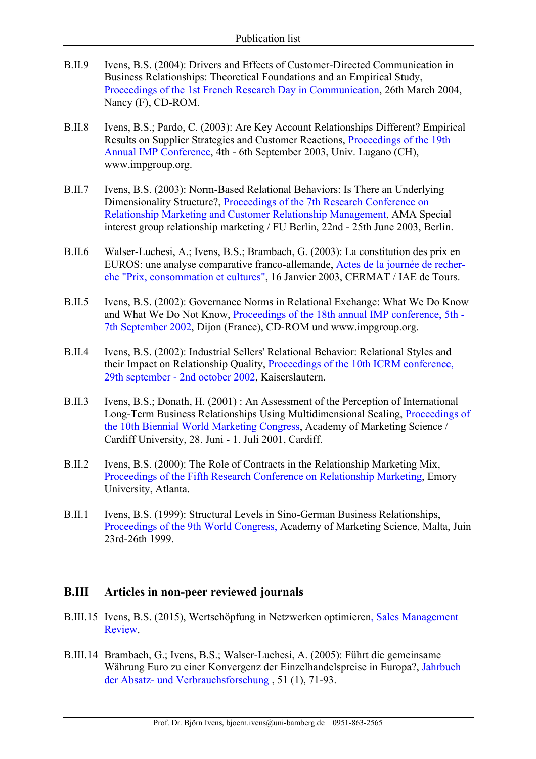- B.II.9 Ivens, B.S. (2004): Drivers and Effects of Customer-Directed Communication in Business Relationships: Theoretical Foundations and an Empirical Study, Proceedings of the 1st French Research Day in Communication, 26th March 2004, Nancy (F), CD-ROM.
- B.II.8 Ivens, B.S.; Pardo, C. (2003): Are Key Account Relationships Different? Empirical Results on Supplier Strategies and Customer Reactions, Proceedings of the 19th Annual IMP Conference, 4th - 6th September 2003, Univ. Lugano (CH), www.impgroup.org.
- B.II.7 Ivens, B.S. (2003): Norm-Based Relational Behaviors: Is There an Underlying Dimensionality Structure?, Proceedings of the 7th Research Conference on Relationship Marketing and Customer Relationship Management, AMA Special interest group relationship marketing / FU Berlin, 22nd - 25th June 2003, Berlin.
- B.II.6 Walser-Luchesi, A.; Ivens, B.S.; Brambach, G. (2003): La constitution des prix en EUROS: une analyse comparative franco-allemande, Actes de la journée de recherche "Prix, consommation et cultures", 16 Janvier 2003, CERMAT / IAE de Tours.
- B.II.5 Ivens, B.S. (2002): Governance Norms in Relational Exchange: What We Do Know and What We Do Not Know, Proceedings of the 18th annual IMP conference, 5th - 7th September 2002, Dijon (France), CD-ROM und www.impgroup.org.
- B.II.4 Ivens, B.S. (2002): Industrial Sellers' Relational Behavior: Relational Styles and their Impact on Relationship Quality, Proceedings of the 10th ICRM conference, 29th september - 2nd october 2002, Kaiserslautern.
- B.II.3 Ivens, B.S.; Donath, H. (2001) : An Assessment of the Perception of International Long-Term Business Relationships Using Multidimensional Scaling, Proceedings of the 10th Biennial World Marketing Congress, Academy of Marketing Science / Cardiff University, 28. Juni - 1. Juli 2001, Cardiff.
- B.II.2 Ivens, B.S. (2000): The Role of Contracts in the Relationship Marketing Mix, Proceedings of the Fifth Research Conference on Relationship Marketing, Emory University, Atlanta.
- B.II.1 Ivens, B.S. (1999): Structural Levels in Sino-German Business Relationships, Proceedings of the 9th World Congress, Academy of Marketing Science, Malta, Juin 23rd-26th 1999.

#### **B.III Articles in non-peer reviewed journals**

- B.III.15 Ivens, B.S. (2015), Wertschöpfung in Netzwerken optimieren, Sales Management Review.
- B.III.14 Brambach, G.; Ivens, B.S.; Walser-Luchesi, A. (2005): Führt die gemeinsame Währung Euro zu einer Konvergenz der Einzelhandelspreise in Europa?, Jahrbuch der Absatz- und Verbrauchsforschung , 51 (1), 71-93.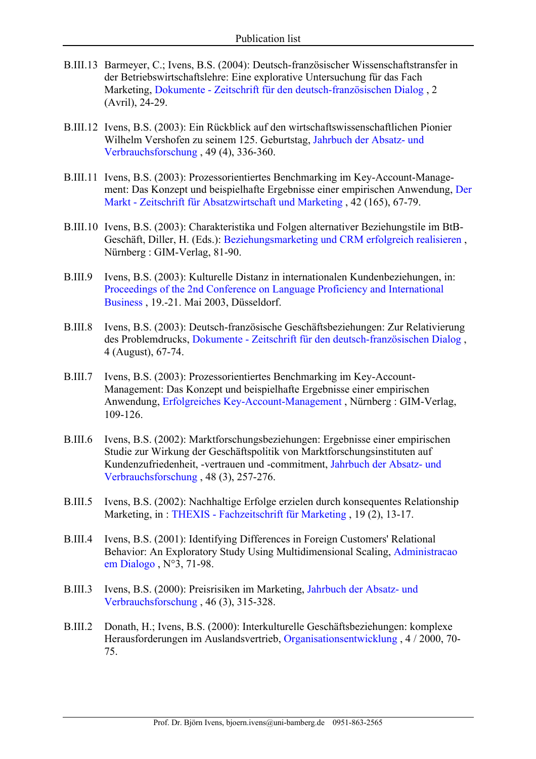- B.III.13 Barmeyer, C.; Ivens, B.S. (2004): Deutsch-französischer Wissenschaftstransfer in der Betriebswirtschaftslehre: Eine explorative Untersuchung für das Fach Marketing, Dokumente - Zeitschrift für den deutsch-französischen Dialog , 2 (Avril), 24-29.
- B.III.12 Ivens, B.S. (2003): Ein Rückblick auf den wirtschaftswissenschaftlichen Pionier Wilhelm Vershofen zu seinem 125. Geburtstag, Jahrbuch der Absatz- und Verbrauchsforschung , 49 (4), 336-360.
- B.III.11 Ivens, B.S. (2003): Prozessorientiertes Benchmarking im Key-Account-Management: Das Konzept und beispielhafte Ergebnisse einer empirischen Anwendung, Der Markt - Zeitschrift für Absatzwirtschaft und Marketing , 42 (165), 67-79.
- B.III.10 Ivens, B.S. (2003): Charakteristika und Folgen alternativer Beziehungstile im BtB-Geschäft, Diller, H. (Eds.): Beziehungsmarketing und CRM erfolgreich realisieren , Nürnberg : GIM-Verlag, 81-90.
- B.III.9 Ivens, B.S. (2003): Kulturelle Distanz in internationalen Kundenbeziehungen, in: Proceedings of the 2nd Conference on Language Proficiency and International Business , 19.-21. Mai 2003, Düsseldorf.
- B.III.8 Ivens, B.S. (2003): Deutsch-französische Geschäftsbeziehungen: Zur Relativierung des Problemdrucks, Dokumente - Zeitschrift für den deutsch-französischen Dialog , 4 (August), 67-74.
- B.III.7 Ivens, B.S. (2003): Prozessorientiertes Benchmarking im Key-Account-Management: Das Konzept und beispielhafte Ergebnisse einer empirischen Anwendung, Erfolgreiches Key-Account-Management , Nürnberg : GIM-Verlag, 109-126.
- B.III.6 Ivens, B.S. (2002): Marktforschungsbeziehungen: Ergebnisse einer empirischen Studie zur Wirkung der Geschäftspolitik von Marktforschungsinstituten auf Kundenzufriedenheit, -vertrauen und -commitment, Jahrbuch der Absatz- und Verbrauchsforschung , 48 (3), 257-276.
- B.III.5 Ivens, B.S. (2002): Nachhaltige Erfolge erzielen durch konsequentes Relationship Marketing, in : THEXIS - Fachzeitschrift für Marketing , 19 (2), 13-17.
- B.III.4 Ivens, B.S. (2001): Identifying Differences in Foreign Customers' Relational Behavior: An Exploratory Study Using Multidimensional Scaling, Administracao em Dialogo , N°3, 71-98.
- B.III.3 Ivens, B.S. (2000): Preisrisiken im Marketing, Jahrbuch der Absatz- und Verbrauchsforschung , 46 (3), 315-328.
- B.III.2 Donath, H.; Ivens, B.S. (2000): Interkulturelle Geschäftsbeziehungen: komplexe Herausforderungen im Auslandsvertrieb, Organisationsentwicklung , 4 / 2000, 70- 75.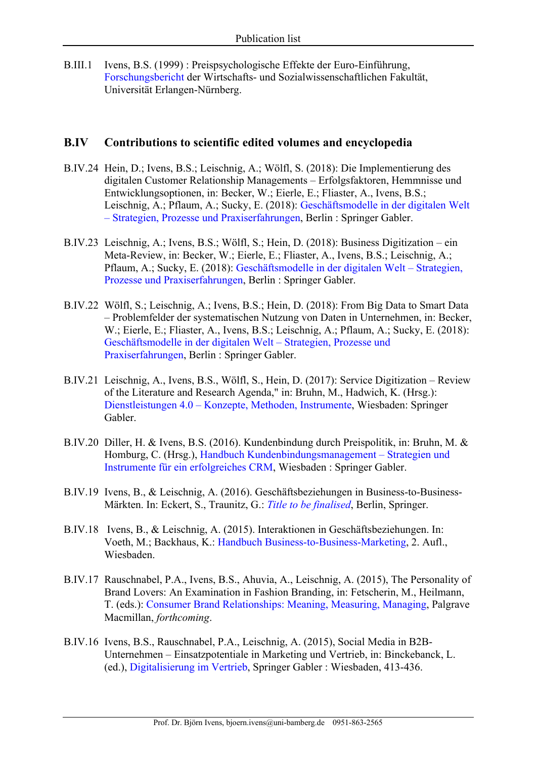B.III.1 Ivens, B.S. (1999) : Preispsychologische Effekte der Euro-Einführung, Forschungsbericht der Wirtschafts- und Sozialwissenschaftlichen Fakultät, Universität Erlangen-Nürnberg.

#### **B.IV Contributions to scientific edited volumes and encyclopedia**

- B.IV.24 Hein, D.; Ivens, B.S.; Leischnig, A.; Wölfl, S. (2018): Die Implementierung des digitalen Customer Relationship Managements – Erfolgsfaktoren, Hemmnisse und Entwicklungsoptionen, in: Becker, W.; Eierle, E.; Fliaster, A., Ivens, B.S.; Leischnig, A.; Pflaum, A.; Sucky, E. (2018): Geschäftsmodelle in der digitalen Welt – Strategien, Prozesse und Praxiserfahrungen, Berlin : Springer Gabler.
- B.IV.23 Leischnig, A.; Ivens, B.S.; Wölfl, S.; Hein, D. (2018): Business Digitization ein Meta-Review, in: Becker, W.; Eierle, E.; Fliaster, A., Ivens, B.S.; Leischnig, A.; Pflaum, A.; Sucky, E. (2018): Geschäftsmodelle in der digitalen Welt – Strategien, Prozesse und Praxiserfahrungen, Berlin : Springer Gabler.
- B.IV.22 Wölfl, S.; Leischnig, A.; Ivens, B.S.; Hein, D. (2018): From Big Data to Smart Data – Problemfelder der systematischen Nutzung von Daten in Unternehmen, in: Becker, W.; Eierle, E.; Fliaster, A., Ivens, B.S.; Leischnig, A.; Pflaum, A.; Sucky, E. (2018): Geschäftsmodelle in der digitalen Welt – Strategien, Prozesse und Praxiserfahrungen, Berlin : Springer Gabler.
- B.IV.21 Leischnig, A., Ivens, B.S., Wölfl, S., Hein, D. (2017): Service Digitization Review of the Literature and Research Agenda," in: Bruhn, M., Hadwich, K. (Hrsg.): Dienstleistungen 4.0 – Konzepte, Methoden, Instrumente, Wiesbaden: Springer Gabler.
- B.IV.20 Diller, H. & Ivens, B.S. (2016). Kundenbindung durch Preispolitik, in: Bruhn, M. & Homburg, C. (Hrsg.), Handbuch Kundenbindungsmanagement – Strategien und Instrumente für ein erfolgreiches CRM, Wiesbaden : Springer Gabler.
- B.IV.19 Ivens, B., & Leischnig, A. (2016). Geschäftsbeziehungen in Business-to-Business-Märkten. In: Eckert, S., Traunitz, G.: *Title to be finalised*, Berlin, Springer.
- B.IV.18 Ivens, B., & Leischnig, A. (2015). Interaktionen in Geschäftsbeziehungen. In: Voeth, M.; Backhaus, K.: Handbuch Business-to-Business-Marketing, 2. Aufl., Wiesbaden.
- B.IV.17 Rauschnabel, P.A., Ivens, B.S., Ahuvia, A., Leischnig, A. (2015), The Personality of Brand Lovers: An Examination in Fashion Branding, in: Fetscherin, M., Heilmann, T. (eds.): Consumer Brand Relationships: Meaning, Measuring, Managing, Palgrave Macmillan, *forthcoming*.
- B.IV.16 Ivens, B.S., Rauschnabel, P.A., Leischnig, A. (2015), Social Media in B2B-Unternehmen – Einsatzpotentiale in Marketing und Vertrieb, in: Binckebanck, L. (ed.), Digitalisierung im Vertrieb, Springer Gabler : Wiesbaden, 413-436.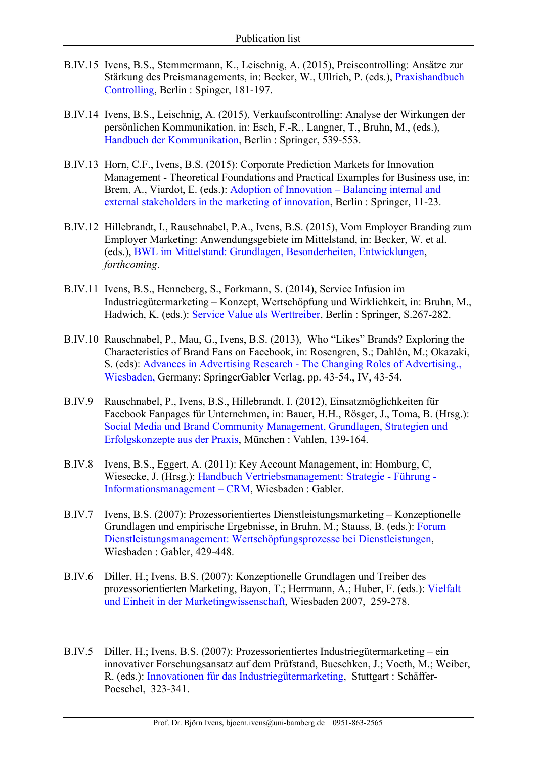- B.IV.15 Ivens, B.S., Stemmermann, K., Leischnig, A. (2015), Preiscontrolling: Ansätze zur Stärkung des Preismanagements, in: Becker, W., Ullrich, P. (eds.), Praxishandbuch Controlling, Berlin : Spinger, 181-197.
- B.IV.14 Ivens, B.S., Leischnig, A. (2015), Verkaufscontrolling: Analyse der Wirkungen der persönlichen Kommunikation, in: Esch, F.-R., Langner, T., Bruhn, M., (eds.), Handbuch der Kommunikation, Berlin : Springer, 539-553.
- B.IV.13 Horn, C.F., Ivens, B.S. (2015): Corporate Prediction Markets for Innovation Management - Theoretical Foundations and Practical Examples for Business use, in: Brem, A., Viardot, E. (eds.): Adoption of Innovation – Balancing internal and external stakeholders in the marketing of innovation, Berlin : Springer, 11-23.
- B.IV.12 Hillebrandt, I., Rauschnabel, P.A., Ivens, B.S. (2015), Vom Employer Branding zum Employer Marketing: Anwendungsgebiete im Mittelstand, in: Becker, W. et al. (eds.), BWL im Mittelstand: Grundlagen, Besonderheiten, Entwicklungen, *forthcoming*.
- B.IV.11 Ivens, B.S., Henneberg, S., Forkmann, S. (2014), Service Infusion im Industriegütermarketing – Konzept, Wertschöpfung und Wirklichkeit, in: Bruhn, M., Hadwich, K. (eds.): Service Value als Werttreiber, Berlin : Springer, S.267-282.
- B.IV.10 Rauschnabel, P., Mau, G., Ivens, B.S. (2013), Who "Likes" Brands? Exploring the Characteristics of Brand Fans on Facebook, in: Rosengren, S.; Dahlén, M.; Okazaki, S. (eds): Advances in Advertising Research - The Changing Roles of Advertising., Wiesbaden, Germany: SpringerGabler Verlag, pp. 43-54., IV, 43-54.
- B.IV.9 Rauschnabel, P., Ivens, B.S., Hillebrandt, I. (2012), Einsatzmöglichkeiten für Facebook Fanpages für Unternehmen, in: Bauer, H.H., Rösger, J., Toma, B. (Hrsg.): Social Media und Brand Community Management, Grundlagen, Strategien und Erfolgskonzepte aus der Praxis, München : Vahlen, 139-164.
- B.IV.8 Ivens, B.S., Eggert, A. (2011): Key Account Management, in: Homburg, C, Wiesecke, J. (Hrsg.): Handbuch Vertriebsmanagement: Strategie - Führung - Informationsmanagement – CRM, Wiesbaden : Gabler.
- B.IV.7 Ivens, B.S. (2007): Prozessorientiertes Dienstleistungsmarketing Konzeptionelle Grundlagen und empirische Ergebnisse, in Bruhn, M.; Stauss, B. (eds.): Forum Dienstleistungsmanagement: Wertschöpfungsprozesse bei Dienstleistungen, Wiesbaden : Gabler, 429-448.
- B.IV.6 Diller, H.; Ivens, B.S. (2007): Konzeptionelle Grundlagen und Treiber des prozessorientierten Marketing, Bayon, T.; Herrmann, A.; Huber, F. (eds.): Vielfalt und Einheit in der Marketingwissenschaft, Wiesbaden 2007, 259-278.
- B.IV.5 Diller, H.; Ivens, B.S. (2007): Prozessorientiertes Industriegütermarketing ein innovativer Forschungsansatz auf dem Prüfstand, Bueschken, J.; Voeth, M.; Weiber, R. (eds.): Innovationen für das Industriegütermarketing, Stuttgart : Schäffer-Poeschel, 323-341.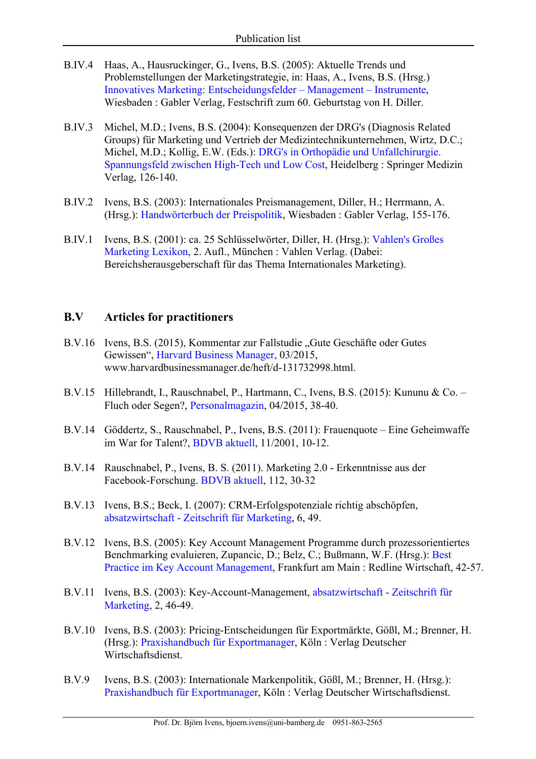- B.IV.4 Haas, A., Hausruckinger, G., Ivens, B.S. (2005): Aktuelle Trends und Problemstellungen der Marketingstrategie, in: Haas, A., Ivens, B.S. (Hrsg.) Innovatives Marketing: Entscheidungsfelder – Management – Instrumente, Wiesbaden : Gabler Verlag, Festschrift zum 60. Geburtstag von H. Diller.
- B.IV.3 Michel, M.D.; Ivens, B.S. (2004): Konsequenzen der DRG's (Diagnosis Related Groups) für Marketing und Vertrieb der Medizintechnikunternehmen, Wirtz, D.C.; Michel, M.D.; Kollig, E.W. (Eds.): DRG's in Orthopädie und Unfallchirurgie. Spannungsfeld zwischen High-Tech und Low Cost, Heidelberg : Springer Medizin Verlag, 126-140.
- B.IV.2 Ivens, B.S. (2003): Internationales Preismanagement, Diller, H.; Herrmann, A. (Hrsg.): Handwörterbuch der Preispolitik, Wiesbaden : Gabler Verlag, 155-176.
- B.IV.1 Ivens, B.S. (2001): ca. 25 Schlüsselwörter, Diller, H. (Hrsg.): Vahlen's Großes Marketing Lexikon, 2. Aufl., München : Vahlen Verlag. (Dabei: Bereichsherausgeberschaft für das Thema Internationales Marketing).

#### **B.V Articles for practitioners**

- B.V.16 Ivens, B.S. (2015), Kommentar zur Fallstudie "Gute Geschäfte oder Gutes Gewissen", Harvard Business Manager, 03/2015, www.harvardbusinessmanager.de/heft/d-131732998.html.
- B.V.15 Hillebrandt, I., Rauschnabel, P., Hartmann, C., Ivens, B.S. (2015): Kununu & Co. Fluch oder Segen?, Personalmagazin, 04/2015, 38-40.
- B.V.14 Göddertz, S., Rauschnabel, P., Ivens, B.S. (2011): Frauenquote Eine Geheimwaffe im War for Talent?, BDVB aktuell, 11/2001, 10-12.
- B.V.14 Rauschnabel, P., Ivens, B. S. (2011). Marketing 2.0 Erkenntnisse aus der Facebook-Forschung. BDVB aktuell, 112, 30-32
- B.V.13 Ivens, B.S.; Beck, I. (2007): CRM-Erfolgspotenziale richtig abschöpfen, absatzwirtschaft - Zeitschrift für Marketing, 6, 49.
- B.V.12 Ivens, B.S. (2005): Key Account Management Programme durch prozessorientiertes Benchmarking evaluieren, Zupancic, D.; Belz, C.; Bußmann, W.F. (Hrsg.): Best Practice im Key Account Management, Frankfurt am Main : Redline Wirtschaft, 42-57.
- B.V.11 Ivens, B.S. (2003): Key-Account-Management, absatzwirtschaft Zeitschrift für Marketing, 2, 46-49.
- B.V.10 Ivens, B.S. (2003): Pricing-Entscheidungen für Exportmärkte, Gößl, M.; Brenner, H. (Hrsg.): Praxishandbuch für Exportmanager, Köln : Verlag Deutscher Wirtschaftsdienst.
- B.V.9 Ivens, B.S. (2003): Internationale Markenpolitik, Gößl, M.; Brenner, H. (Hrsg.): Praxishandbuch für Exportmanager, Köln : Verlag Deutscher Wirtschaftsdienst.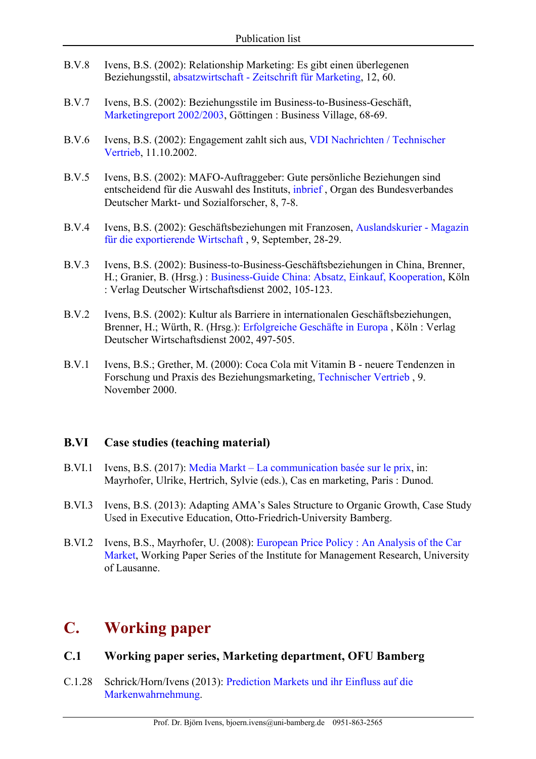- B.V.8 Ivens, B.S. (2002): Relationship Marketing: Es gibt einen überlegenen Beziehungsstil, absatzwirtschaft - Zeitschrift für Marketing, 12, 60.
- B.V.7 Ivens, B.S. (2002): Beziehungsstile im Business-to-Business-Geschäft, Marketingreport 2002/2003, Göttingen : Business Village, 68-69.
- B.V.6 Ivens, B.S. (2002): Engagement zahlt sich aus, VDI Nachrichten / Technischer Vertrieb, 11.10.2002.
- B.V.5 Ivens, B.S. (2002): MAFO-Auftraggeber: Gute persönliche Beziehungen sind entscheidend für die Auswahl des Instituts, inbrief , Organ des Bundesverbandes Deutscher Markt- und Sozialforscher, 8, 7-8.
- B.V.4 Ivens, B.S. (2002): Geschäftsbeziehungen mit Franzosen, Auslandskurier Magazin für die exportierende Wirtschaft , 9, September, 28-29.
- B.V.3 Ivens, B.S. (2002): Business-to-Business-Geschäftsbeziehungen in China, Brenner, H.; Granier, B. (Hrsg.) : Business-Guide China: Absatz, Einkauf, Kooperation, Köln : Verlag Deutscher Wirtschaftsdienst 2002, 105-123.
- B.V.2 Ivens, B.S. (2002): Kultur als Barriere in internationalen Geschäftsbeziehungen, Brenner, H.; Würth, R. (Hrsg.): Erfolgreiche Geschäfte in Europa , Köln : Verlag Deutscher Wirtschaftsdienst 2002, 497-505.
- B.V.1 Ivens, B.S.; Grether, M. (2000): Coca Cola mit Vitamin B neuere Tendenzen in Forschung und Praxis des Beziehungsmarketing, Technischer Vertrieb , 9. November 2000.

#### **B.VI Case studies (teaching material)**

- B.VI.1 Ivens, B.S. (2017): Media Markt La communication basée sur le prix, in: Mayrhofer, Ulrike, Hertrich, Sylvie (eds.), Cas en marketing, Paris : Dunod.
- B.VI.3 Ivens, B.S. (2013): Adapting AMA's Sales Structure to Organic Growth, Case Study Used in Executive Education, Otto-Friedrich-University Bamberg.
- B.VI.2 Ivens, B.S., Mayrhofer, U. (2008): European Price Policy : An Analysis of the Car Market, Working Paper Series of the Institute for Management Research, University of Lausanne.

# **C. Working paper**

## **C.1 Working paper series, Marketing department, OFU Bamberg**

C.1.28 Schrick/Horn/Ivens (2013): Prediction Markets und ihr Einfluss auf die Markenwahrnehmung.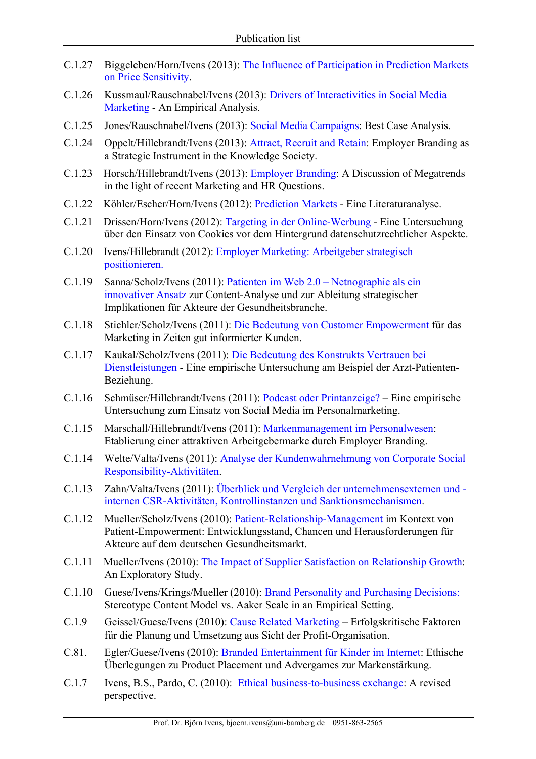- C.1.27 Biggeleben/Horn/Ivens (2013): The Influence of Participation in Prediction Markets on Price Sensitivity.
- C.1.26 Kussmaul/Rauschnabel/Ivens (2013): Drivers of Interactivities in Social Media Marketing - An Empirical Analysis.
- C.1.25 Jones/Rauschnabel/Ivens (2013): Social Media Campaigns: Best Case Analysis.
- C.1.24 Oppelt/Hillebrandt/Ivens (2013): Attract, Recruit and Retain: Employer Branding as a Strategic Instrument in the Knowledge Society.
- C.1.23 Horsch/Hillebrandt/Ivens (2013): Employer Branding: A Discussion of Megatrends in the light of recent Marketing and HR Questions.
- C.1.22 Köhler/Escher/Horn/Ivens (2012): Prediction Markets Eine Literaturanalyse.
- C.1.21 Drissen/Horn/Ivens (2012): Targeting in der Online-Werbung Eine Untersuchung über den Einsatz von Cookies vor dem Hintergrund datenschutzrechtlicher Aspekte.
- C.1.20 Ivens/Hillebrandt (2012): Employer Marketing: Arbeitgeber strategisch positionieren.
- C.1.19 Sanna/Scholz/Ivens (2011): Patienten im Web 2.0 Netnographie als ein innovativer Ansatz zur Content-Analyse und zur Ableitung strategischer Implikationen für Akteure der Gesundheitsbranche.
- C.1.18 Stichler/Scholz/Ivens (2011): Die Bedeutung von Customer Empowerment für das Marketing in Zeiten gut informierter Kunden.
- C.1.17 Kaukal/Scholz/Ivens (2011): Die Bedeutung des Konstrukts Vertrauen bei Dienstleistungen - Eine empirische Untersuchung am Beispiel der Arzt-Patienten-Beziehung.
- C.1.16 Schmüser/Hillebrandt/Ivens (2011): Podcast oder Printanzeige? Eine empirische Untersuchung zum Einsatz von Social Media im Personalmarketing.
- C.1.15 Marschall/Hillebrandt/Ivens (2011): Markenmanagement im Personalwesen: Etablierung einer attraktiven Arbeitgebermarke durch Employer Branding.
- C.1.14 Welte/Valta/Ivens (2011): Analyse der Kundenwahrnehmung von Corporate Social Responsibility-Aktivitäten.
- C.1.13 Zahn/Valta/Ivens (2011): Überblick und Vergleich der unternehmensexternen und internen CSR-Aktivitäten, Kontrollinstanzen und Sanktionsmechanismen.
- C.1.12 Mueller/Scholz/Ivens (2010): Patient-Relationship-Management im Kontext von Patient-Empowerment: Entwicklungsstand, Chancen und Herausforderungen für Akteure auf dem deutschen Gesundheitsmarkt.
- C.1.11 Mueller/Ivens (2010): The Impact of Supplier Satisfaction on Relationship Growth: An Exploratory Study.
- C.1.10 Guese/Ivens/Krings/Mueller (2010): Brand Personality and Purchasing Decisions: Stereotype Content Model vs. Aaker Scale in an Empirical Setting.
- C.1.9 Geissel/Guese/Ivens (2010): Cause Related Marketing Erfolgskritische Faktoren für die Planung und Umsetzung aus Sicht der Profit-Organisation.
- C.81. Egler/Guese/Ivens (2010): Branded Entertainment für Kinder im Internet: Ethische Überlegungen zu Product Placement und Advergames zur Markenstärkung.
- C.1.7 Ivens, B.S., Pardo, C. (2010): Ethical business-to-business exchange: A revised perspective.